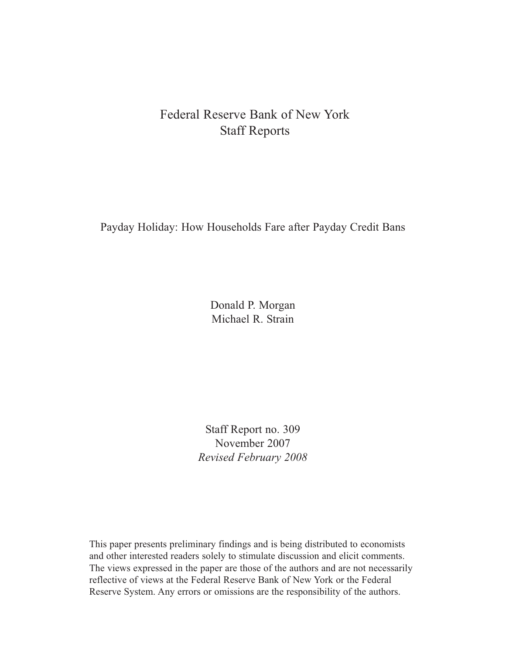# Federal Reserve Bank of New York Staff Reports

Payday Holiday: How Households Fare after Payday Credit Bans

Donald P. Morgan Michael R. Strain

Staff Report no. 309 November 2007 *Revised February 2008*

This paper presents preliminary findings and is being distributed to economists and other interested readers solely to stimulate discussion and elicit comments. The views expressed in the paper are those of the authors and are not necessarily reflective of views at the Federal Reserve Bank of New York or the Federal Reserve System. Any errors or omissions are the responsibility of the authors.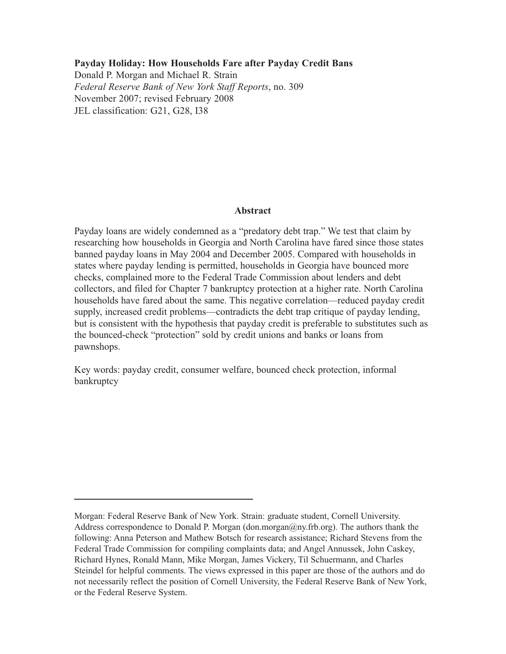### **Payday Holiday: How Households Fare after Payday Credit Bans**

Donald P. Morgan and Michael R. Strain *Federal Reserve Bank of New York Staff Reports*, no. 309 November 2007; revised February 2008 JEL classification: G21, G28, I38

### **Abstract**

Payday loans are widely condemned as a "predatory debt trap." We test that claim by researching how households in Georgia and North Carolina have fared since those states banned payday loans in May 2004 and December 2005. Compared with households in states where payday lending is permitted, households in Georgia have bounced more checks, complained more to the Federal Trade Commission about lenders and debt collectors, and filed for Chapter 7 bankruptcy protection at a higher rate. North Carolina households have fared about the same. This negative correlation—reduced payday credit supply, increased credit problems—contradicts the debt trap critique of payday lending, but is consistent with the hypothesis that payday credit is preferable to substitutes such as the bounced-check "protection" sold by credit unions and banks or loans from pawnshops.

Key words: payday credit, consumer welfare, bounced check protection, informal bankruptcy

Morgan: Federal Reserve Bank of New York. Strain: graduate student, Cornell University. Address correspondence to Donald P. Morgan (don.morgan@ny.frb.org). The authors thank the following: Anna Peterson and Mathew Botsch for research assistance; Richard Stevens from the Federal Trade Commission for compiling complaints data; and Angel Annussek, John Caskey, Richard Hynes, Ronald Mann, Mike Morgan, James Vickery, Til Schuermann, and Charles Steindel for helpful comments. The views expressed in this paper are those of the authors and do not necessarily reflect the position of Cornell University, the Federal Reserve Bank of New York, or the Federal Reserve System.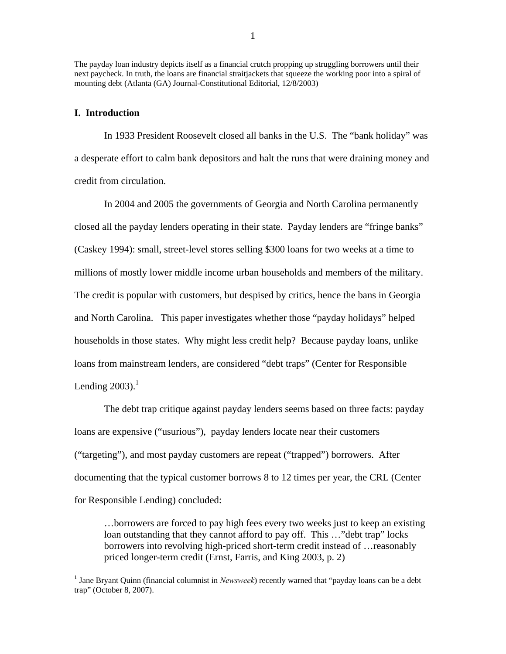The payday loan industry depicts itself as a financial crutch propping up struggling borrowers until their next paycheck. In truth, the loans are financial straitjackets that squeeze the working poor into a spiral of mounting debt (Atlanta (GA) Journal-Constitutional Editorial, 12/8/2003)

#### **I. Introduction**

 $\overline{a}$ 

In 1933 President Roosevelt closed all banks in the U.S. The "bank holiday" was a desperate effort to calm bank depositors and halt the runs that were draining money and credit from circulation.

In 2004 and 2005 the governments of Georgia and North Carolina permanently closed all the payday lenders operating in their state. Payday lenders are "fringe banks" (Caskey 1994): small, street-level stores selling \$300 loans for two weeks at a time to millions of mostly lower middle income urban households and members of the military. The credit is popular with customers, but despised by critics, hence the bans in Georgia and North Carolina. This paper investigates whether those "payday holidays" helped households in those states. Why might less credit help? Because payday loans, unlike loans from mainstream lenders, are considered "debt traps" (Center for Responsible Lending  $2003$ ).<sup>1</sup>

The debt trap critique against payday lenders seems based on three facts: payday loans are expensive ("usurious"), payday lenders locate near their customers ("targeting"), and most payday customers are repeat ("trapped") borrowers. After documenting that the typical customer borrows 8 to 12 times per year, the CRL (Center for Responsible Lending) concluded:

…borrowers are forced to pay high fees every two weeks just to keep an existing loan outstanding that they cannot afford to pay off. This ..."debt trap" locks borrowers into revolving high-priced short-term credit instead of …reasonably priced longer-term credit (Ernst, Farris, and King 2003, p. 2)

<sup>&</sup>lt;sup>1</sup> Jane Bryant Quinn (financial columnist in *Newsweek*) recently warned that "payday loans can be a debt trap" (October 8, 2007).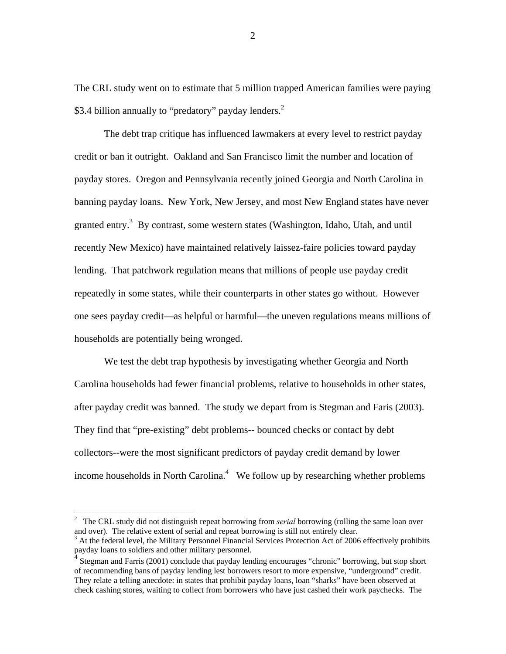The CRL study went on to estimate that 5 million trapped American families were paying \$3.4 billion annually to "predatory" payday lenders. $2$ 

The debt trap critique has influenced lawmakers at every level to restrict payday credit or ban it outright. Oakland and San Francisco limit the number and location of payday stores. Oregon and Pennsylvania recently joined Georgia and North Carolina in banning payday loans. New York, New Jersey, and most New England states have never granted entry.<sup>3</sup> By contrast, some western states (Washington, Idaho, Utah, and until recently New Mexico) have maintained relatively laissez-faire policies toward payday lending. That patchwork regulation means that millions of people use payday credit repeatedly in some states, while their counterparts in other states go without. However one sees payday credit—as helpful or harmful—the uneven regulations means millions of households are potentially being wronged.

We test the debt trap hypothesis by investigating whether Georgia and North Carolina households had fewer financial problems, relative to households in other states, after payday credit was banned. The study we depart from is Stegman and Faris (2003). They find that "pre-existing" debt problems-- bounced checks or contact by debt collectors--were the most significant predictors of payday credit demand by lower income households in North Carolina. $4$  We follow up by researching whether problems

 2 The CRL study did not distinguish repeat borrowing from *serial* borrowing (rolling the same loan over and over). The relative extent of serial and repeat borrowing is still not entirely clear.

 $3$  At the federal level, the Military Personnel Financial Services Protection Act of 2006 effectively prohibits payday loans to soldiers and other military personnel.

<sup>&</sup>lt;sup>4</sup> Stegman and Farris (2001) conclude that payday lending encourages "chronic" borrowing, but stop short of recommending bans of payday lending lest borrowers resort to more expensive, "underground" credit. They relate a telling anecdote: in states that prohibit payday loans, loan "sharks" have been observed at check cashing stores, waiting to collect from borrowers who have just cashed their work paychecks. The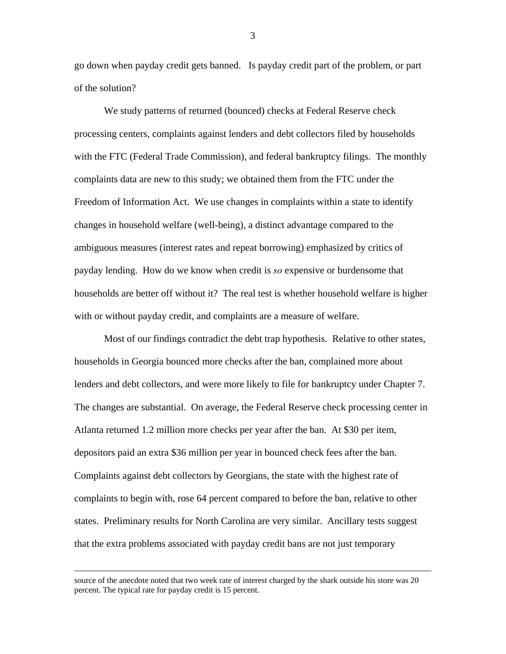go down when payday credit gets banned. Is payday credit part of the problem, or part of the solution?

We study patterns of returned (bounced) checks at Federal Reserve check processing centers, complaints against lenders and debt collectors filed by households with the FTC (Federal Trade Commission), and federal bankruptcy filings. The monthly complaints data are new to this study; we obtained them from the FTC under the Freedom of Information Act. We use changes in complaints within a state to identify changes in household welfare (well-being), a distinct advantage compared to the ambiguous measures (interest rates and repeat borrowing) emphasized by critics of payday lending. How do we know when credit is *so* expensive or burdensome that households are better off without it? The real test is whether household welfare is higher with or without payday credit, and complaints are a measure of welfare.

Most of our findings contradict the debt trap hypothesis. Relative to other states, households in Georgia bounced more checks after the ban, complained more about lenders and debt collectors, and were more likely to file for bankruptcy under Chapter 7. The changes are substantial. On average, the Federal Reserve check processing center in Atlanta returned 1.2 million more checks per year after the ban. At \$30 per item, depositors paid an extra \$36 million per year in bounced check fees after the ban. Complaints against debt collectors by Georgians, the state with the highest rate of complaints to begin with, rose 64 percent compared to before the ban, relative to other states. Preliminary results for North Carolina are very similar. Ancillary tests suggest that the extra problems associated with payday credit bans are not just temporary

source of the anecdote noted that two week rate of interest charged by the shark outside his store was 20 percent. The typical rate for payday credit is 15 percent.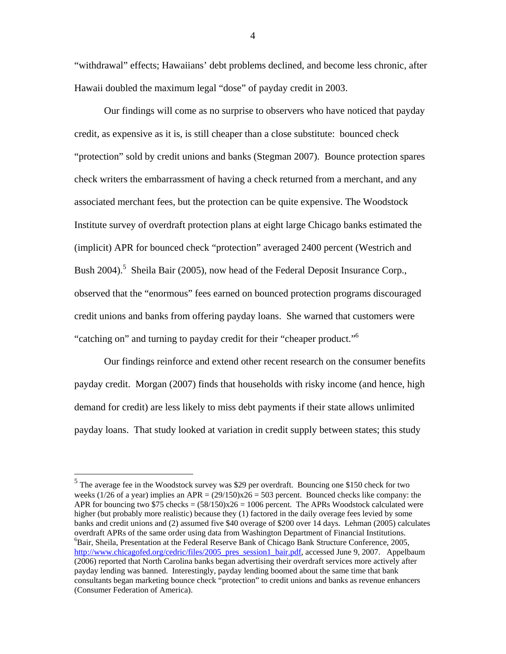"withdrawal" effects; Hawaiians' debt problems declined, and become less chronic, after Hawaii doubled the maximum legal "dose" of payday credit in 2003.

Our findings will come as no surprise to observers who have noticed that payday credit, as expensive as it is, is still cheaper than a close substitute: bounced check "protection" sold by credit unions and banks (Stegman 2007). Bounce protection spares check writers the embarrassment of having a check returned from a merchant, and any associated merchant fees, but the protection can be quite expensive. The Woodstock Institute survey of overdraft protection plans at eight large Chicago banks estimated the (implicit) APR for bounced check "protection" averaged 2400 percent (Westrich and Bush 2004).<sup>5</sup> Sheila Bair (2005), now head of the Federal Deposit Insurance Corp., observed that the "enormous" fees earned on bounced protection programs discouraged credit unions and banks from offering payday loans. She warned that customers were "catching on" and turning to payday credit for their "cheaper product."6

Our findings reinforce and extend other recent research on the consumer benefits payday credit. Morgan (2007) finds that households with risky income (and hence, high demand for credit) are less likely to miss debt payments if their state allows unlimited payday loans. That study looked at variation in credit supply between states; this study

<sup>&</sup>lt;sup>5</sup>The average fee in the Woodstock survey was \$29 per overdraft. Bouncing one \$150 check for two weeks (1/26 of a year) implies an APR =  $(29/150)x26 = 503$  percent. Bounced checks like company: the APR for bouncing two  $$75$  checks =  $(58/150)x26 = 1006$  percent. The APRs Woodstock calculated were higher (but probably more realistic) because they (1) factored in the daily overage fees levied by some banks and credit unions and (2) assumed five \$40 overage of \$200 over 14 days. Lehman (2005) calculates overdraft APRs of the same order using data from Washington Department of Financial Institutions. 6  ${}^{6}$ Bair, Sheila, Presentation at the Federal Reserve Bank of Chicago Bank Structure Conference, 2005, http://www.chicagofed.org/cedric/files/2005\_pres\_session1\_bair.pdf, accessed June 9, 2007. Appelbaum (2006) reported that North Carolina banks began advertising their overdraft services more actively after payday lending was banned. Interestingly, payday lending boomed about the same time that bank consultants began marketing bounce check "protection" to credit unions and banks as revenue enhancers (Consumer Federation of America).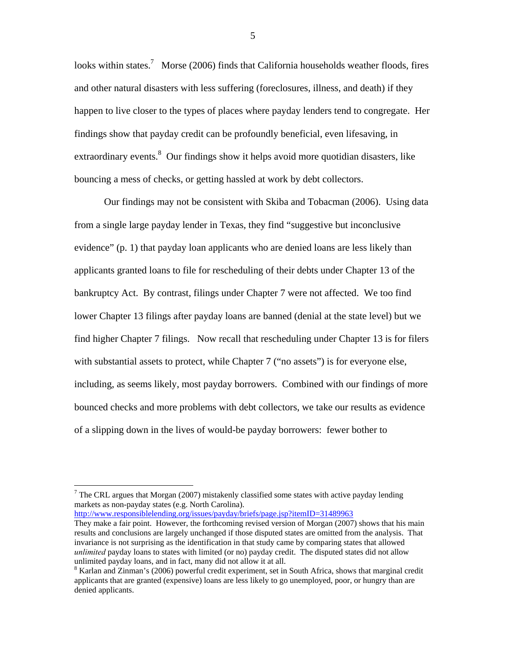looks within states.<sup>7</sup> Morse (2006) finds that California households weather floods, fires and other natural disasters with less suffering (foreclosures, illness, and death) if they happen to live closer to the types of places where payday lenders tend to congregate. Her findings show that payday credit can be profoundly beneficial, even lifesaving, in extraordinary events.<sup>8</sup> Our findings show it helps avoid more quotidian disasters, like bouncing a mess of checks, or getting hassled at work by debt collectors.

Our findings may not be consistent with Skiba and Tobacman (2006). Using data from a single large payday lender in Texas, they find "suggestive but inconclusive evidence" (p. 1) that payday loan applicants who are denied loans are less likely than applicants granted loans to file for rescheduling of their debts under Chapter 13 of the bankruptcy Act. By contrast, filings under Chapter 7 were not affected. We too find lower Chapter 13 filings after payday loans are banned (denial at the state level) but we find higher Chapter 7 filings. Now recall that rescheduling under Chapter 13 is for filers with substantial assets to protect, while Chapter 7 ("no assets") is for everyone else, including, as seems likely, most payday borrowers. Combined with our findings of more bounced checks and more problems with debt collectors, we take our results as evidence of a slipping down in the lives of would-be payday borrowers: fewer bother to

http://www.responsiblelending.org/issues/payday/briefs/page.jsp?itemID=31489963

 $\overline{a}$ 

<sup>&</sup>lt;sup>7</sup> The CRL argues that Morgan (2007) mistakenly classified some states with active payday lending markets as non-payday states (e.g. North Carolina).

They make a fair point. However, the forthcoming revised version of Morgan (2007) shows that his main results and conclusions are largely unchanged if those disputed states are omitted from the analysis. That invariance is not surprising as the identification in that study came by comparing states that allowed *unlimited* payday loans to states with limited (or no) payday credit. The disputed states did not allow unlimited payday loans, and in fact, many did not allow it at all.

<sup>&</sup>lt;sup>8</sup> Karlan and Zinman's (2006) powerful credit experiment, set in South Africa, shows that marginal credit applicants that are granted (expensive) loans are less likely to go unemployed, poor, or hungry than are denied applicants.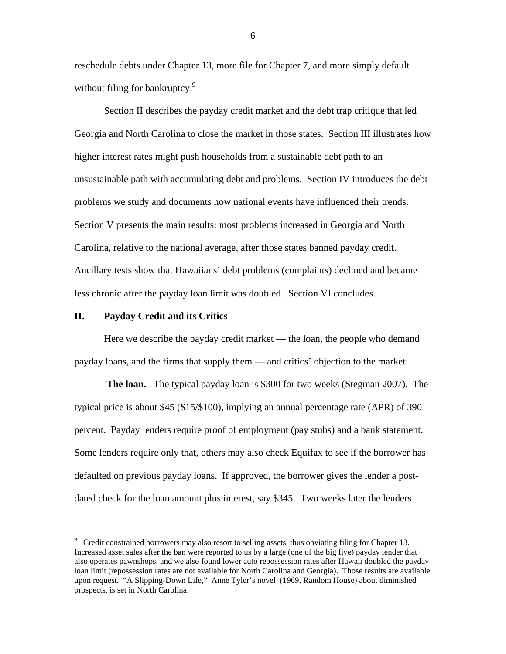reschedule debts under Chapter 13, more file for Chapter 7, and more simply default without filing for bankruptcy.<sup>9</sup>

Section II describes the payday credit market and the debt trap critique that led Georgia and North Carolina to close the market in those states. Section III illustrates how higher interest rates might push households from a sustainable debt path to an unsustainable path with accumulating debt and problems. Section IV introduces the debt problems we study and documents how national events have influenced their trends. Section V presents the main results: most problems increased in Georgia and North Carolina, relative to the national average, after those states banned payday credit. Ancillary tests show that Hawaiians' debt problems (complaints) declined and became less chronic after the payday loan limit was doubled. Section VI concludes.

#### **II. Payday Credit and its Critics**

 $\overline{a}$ 

Here we describe the payday credit market — the loan, the people who demand payday loans, and the firms that supply them — and critics' objection to the market.

**The loan.** The typical payday loan is \$300 for two weeks (Stegman 2007). The typical price is about \$45 (\$15/\$100), implying an annual percentage rate (APR) of 390 percent. Payday lenders require proof of employment (pay stubs) and a bank statement. Some lenders require only that, others may also check Equifax to see if the borrower has defaulted on previous payday loans. If approved, the borrower gives the lender a postdated check for the loan amount plus interest, say \$345. Two weeks later the lenders

<sup>&</sup>lt;sup>9</sup> Credit constrained borrowers may also resort to selling assets, thus obviating filing for Chapter 13. Increased asset sales after the ban were reported to us by a large (one of the big five) payday lender that also operates pawnshops, and we also found lower auto repossession rates after Hawaii doubled the payday loan limit (repossession rates are not available for North Carolina and Georgia). Those results are available upon request. "A Slipping-Down Life," Anne Tyler's novel (1969, Random House) about diminished prospects, is set in North Carolina.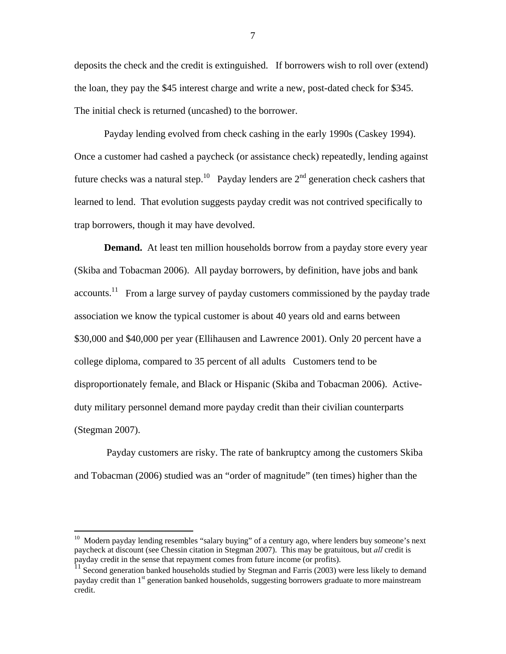deposits the check and the credit is extinguished. If borrowers wish to roll over (extend) the loan, they pay the \$45 interest charge and write a new, post-dated check for \$345. The initial check is returned (uncashed) to the borrower.

Payday lending evolved from check cashing in the early 1990s (Caskey 1994). Once a customer had cashed a paycheck (or assistance check) repeatedly, lending against future checks was a natural step.<sup>10</sup> Payday lenders are  $2<sup>nd</sup>$  generation check cashers that learned to lend. That evolution suggests payday credit was not contrived specifically to trap borrowers, though it may have devolved.

**Demand.** At least ten million households borrow from a payday store every year (Skiba and Tobacman 2006). All payday borrowers, by definition, have jobs and bank accounts.<sup>11</sup> From a large survey of payday customers commissioned by the payday trade association we know the typical customer is about 40 years old and earns between \$30,000 and \$40,000 per year (Ellihausen and Lawrence 2001). Only 20 percent have a college diploma, compared to 35 percent of all adults Customers tend to be disproportionately female, and Black or Hispanic (Skiba and Tobacman 2006). Activeduty military personnel demand more payday credit than their civilian counterparts (Stegman 2007).

 Payday customers are risky. The rate of bankruptcy among the customers Skiba and Tobacman (2006) studied was an "order of magnitude" (ten times) higher than the

 $10$  Modern payday lending resembles "salary buying" of a century ago, where lenders buy someone's next paycheck at discount (see Chessin citation in Stegman 2007). This may be gratuitous, but *all* credit is payday credit in the sense that repayment comes from future income (or profits).

Second generation banked households studied by Stegman and Farris (2003) were less likely to demand payday credit than 1<sup>st</sup> generation banked households, suggesting borrowers graduate to more mainstream credit.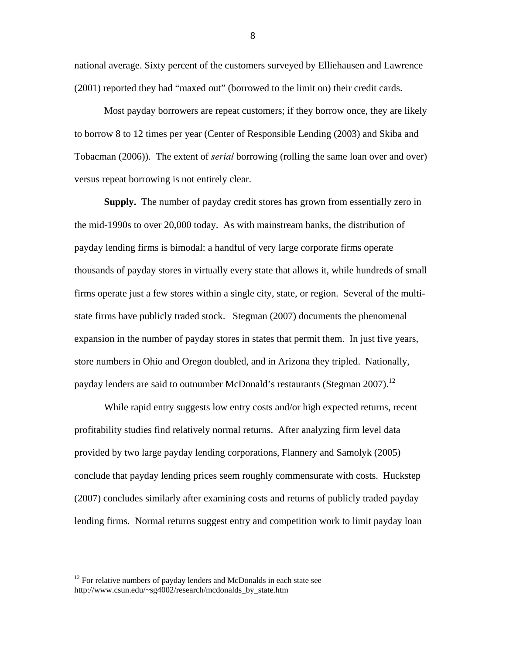national average. Sixty percent of the customers surveyed by Elliehausen and Lawrence (2001) reported they had "maxed out" (borrowed to the limit on) their credit cards.

Most payday borrowers are repeat customers; if they borrow once, they are likely to borrow 8 to 12 times per year (Center of Responsible Lending (2003) and Skiba and Tobacman (2006)). The extent of *serial* borrowing (rolling the same loan over and over) versus repeat borrowing is not entirely clear.

**Supply.** The number of payday credit stores has grown from essentially zero in the mid-1990s to over 20,000 today. As with mainstream banks, the distribution of payday lending firms is bimodal: a handful of very large corporate firms operate thousands of payday stores in virtually every state that allows it, while hundreds of small firms operate just a few stores within a single city, state, or region. Several of the multistate firms have publicly traded stock. Stegman (2007) documents the phenomenal expansion in the number of payday stores in states that permit them. In just five years, store numbers in Ohio and Oregon doubled, and in Arizona they tripled. Nationally, payday lenders are said to outnumber McDonald's restaurants (Stegman 2007).<sup>12</sup>

While rapid entry suggests low entry costs and/or high expected returns, recent profitability studies find relatively normal returns. After analyzing firm level data provided by two large payday lending corporations, Flannery and Samolyk (2005) conclude that payday lending prices seem roughly commensurate with costs. Huckstep (2007) concludes similarly after examining costs and returns of publicly traded payday lending firms. Normal returns suggest entry and competition work to limit payday loan

 $12$  For relative numbers of payday lenders and McDonalds in each state see http://www.csun.edu/~sg4002/research/mcdonalds\_by\_state.htm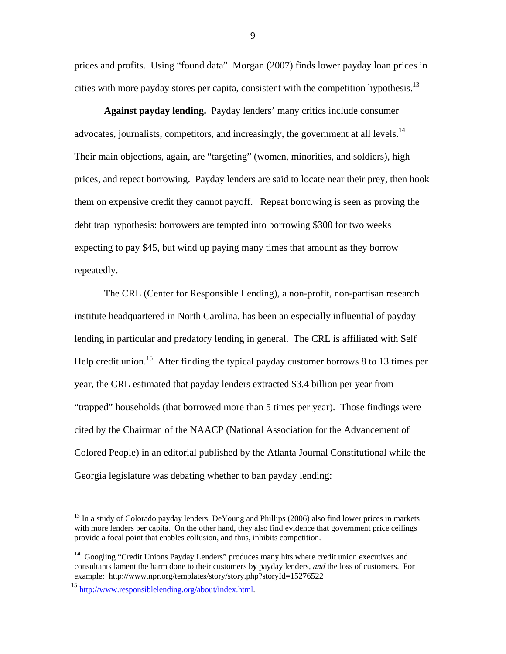prices and profits. Using "found data" Morgan (2007) finds lower payday loan prices in cities with more payday stores per capita, consistent with the competition hypothesis.<sup>13</sup>

**Against payday lending.** Payday lenders' many critics include consumer advocates, journalists, competitors, and increasingly, the government at all levels.<sup>14</sup> Their main objections, again, are "targeting" (women, minorities, and soldiers), high prices, and repeat borrowing. Payday lenders are said to locate near their prey, then hook them on expensive credit they cannot payoff. Repeat borrowing is seen as proving the debt trap hypothesis: borrowers are tempted into borrowing \$300 for two weeks expecting to pay \$45, but wind up paying many times that amount as they borrow repeatedly.

The CRL (Center for Responsible Lending), a non-profit, non-partisan research institute headquartered in North Carolina, has been an especially influential of payday lending in particular and predatory lending in general. The CRL is affiliated with Self Help credit union.<sup>15</sup> After finding the typical payday customer borrows 8 to 13 times per year, the CRL estimated that payday lenders extracted \$3.4 billion per year from "trapped" households (that borrowed more than 5 times per year). Those findings were cited by the Chairman of the NAACP (National Association for the Advancement of Colored People) in an editorial published by the Atlanta Journal Constitutional while the Georgia legislature was debating whether to ban payday lending:

1

 $^{13}$  In a study of Colorado payday lenders, DeYoung and Phillips (2006) also find lower prices in markets with more lenders per capita. On the other hand, they also find evidence that government price ceilings provide a focal point that enables collusion, and thus, inhibits competition.

<sup>&</sup>lt;sup>14</sup> Googling "Credit Unions Payday Lenders" produces many hits where credit union executives and consultants lament the harm done to their customers b**y** payday lenders, *and* the loss of customers. For example: http://www.npr.org/templates/story/story.php?storyId=15276522

<sup>15</sup> http://www.responsiblelending.org/about/index.html.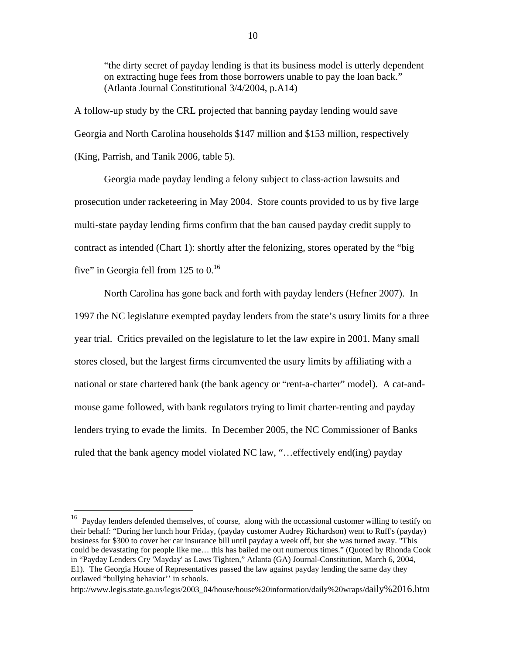"the dirty secret of payday lending is that its business model is utterly dependent on extracting huge fees from those borrowers unable to pay the loan back." (Atlanta Journal Constitutional 3/4/2004, p.A14)

A follow-up study by the CRL projected that banning payday lending would save Georgia and North Carolina households \$147 million and \$153 million, respectively (King, Parrish, and Tanik 2006, table 5).

Georgia made payday lending a felony subject to class-action lawsuits and prosecution under racketeering in May 2004. Store counts provided to us by five large multi-state payday lending firms confirm that the ban caused payday credit supply to contract as intended (Chart 1): shortly after the felonizing, stores operated by the "big five" in Georgia fell from 125 to  $0<sup>16</sup>$ 

North Carolina has gone back and forth with payday lenders (Hefner 2007). In 1997 the NC legislature exempted payday lenders from the state's usury limits for a three year trial. Critics prevailed on the legislature to let the law expire in 2001. Many small stores closed, but the largest firms circumvented the usury limits by affiliating with a national or state chartered bank (the bank agency or "rent-a-charter" model). A cat-andmouse game followed, with bank regulators trying to limit charter-renting and payday lenders trying to evade the limits. In December 2005, the NC Commissioner of Banks ruled that the bank agency model violated NC law, "…effectively end(ing) payday

<sup>16</sup> Payday lenders defended themselves, of course, along with the occassional customer willing to testify on their behalf: "During her lunch hour Friday, (payday customer Audrey Richardson) went to Ruff's (payday) business for \$300 to cover her car insurance bill until payday a week off, but she was turned away. "This could be devastating for people like me… this has bailed me out numerous times." (Quoted by Rhonda Cook in "Payday Lenders Cry 'Mayday' as Laws Tighten," Atlanta (GA) Journal-Constitution, March 6, 2004, E1). The Georgia House of Representatives passed the law against payday lending the same day they outlawed "bullying behavior'' in schools.

http://www.legis.state.ga.us/legis/2003\_04/house/house%20information/daily%20wraps/daily%2016.htm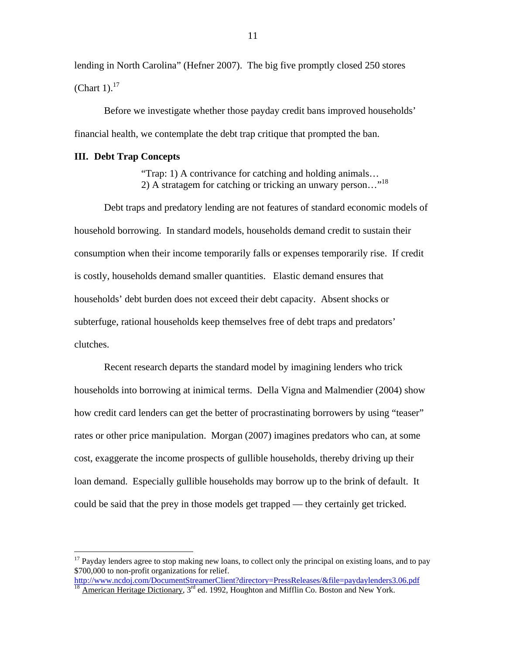lending in North Carolina" (Hefner 2007). The big five promptly closed 250 stores (Chart 1). $^{17}$ 

Before we investigate whether those payday credit bans improved households' financial health, we contemplate the debt trap critique that prompted the ban.

#### **III. Debt Trap Concepts**

 $\overline{a}$ 

 "Trap: 1) A contrivance for catching and holding animals… 2) A stratagem for catching or tricking an unwary person…"18

Debt traps and predatory lending are not features of standard economic models of household borrowing. In standard models, households demand credit to sustain their consumption when their income temporarily falls or expenses temporarily rise. If credit is costly, households demand smaller quantities. Elastic demand ensures that households' debt burden does not exceed their debt capacity. Absent shocks or subterfuge, rational households keep themselves free of debt traps and predators' clutches.

Recent research departs the standard model by imagining lenders who trick households into borrowing at inimical terms. Della Vigna and Malmendier (2004) show how credit card lenders can get the better of procrastinating borrowers by using "teaser" rates or other price manipulation. Morgan (2007) imagines predators who can, at some cost, exaggerate the income prospects of gullible households, thereby driving up their loan demand. Especially gullible households may borrow up to the brink of default. It could be said that the prey in those models get trapped — they certainly get tricked.

 $17$  Payday lenders agree to stop making new loans, to collect only the principal on existing loans, and to pay \$700,000 to non-profit organizations for relief.

http://www.ncdoj.com/DocumentStreamerClient?directory=PressReleases/&file=paydaylenders3.06.pdf<br><sup>18</sup> American Heritage Dictionary, 3<sup>rd</sup> ed. 1992, Houghton and Mifflin Co. Boston and New York.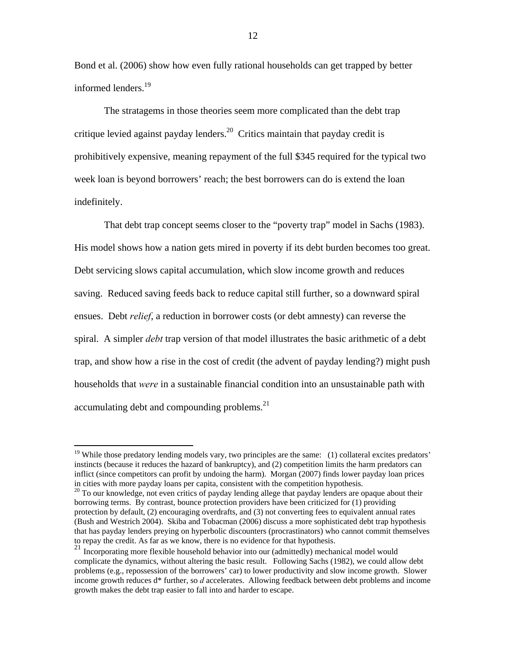Bond et al. (2006) show how even fully rational households can get trapped by better informed lenders.<sup>19</sup>

The stratagems in those theories seem more complicated than the debt trap critique levied against payday lenders.<sup>20</sup> Critics maintain that payday credit is prohibitively expensive, meaning repayment of the full \$345 required for the typical two week loan is beyond borrowers' reach; the best borrowers can do is extend the loan indefinitely.

That debt trap concept seems closer to the "poverty trap" model in Sachs (1983). His model shows how a nation gets mired in poverty if its debt burden becomes too great. Debt servicing slows capital accumulation, which slow income growth and reduces saving. Reduced saving feeds back to reduce capital still further, so a downward spiral ensues. Debt *relief*, a reduction in borrower costs (or debt amnesty) can reverse the spiral. A simpler *debt* trap version of that model illustrates the basic arithmetic of a debt trap, and show how a rise in the cost of credit (the advent of payday lending?) might push households that *were* in a sustainable financial condition into an unsustainable path with accumulating debt and compounding problems. $^{21}$ 

<sup>&</sup>lt;sup>19</sup> While those predatory lending models vary, two principles are the same: (1) collateral excites predators' instincts (because it reduces the hazard of bankruptcy), and (2) competition limits the harm predators can inflict (since competitors can profit by undoing the harm). Morgan (2007) finds lower payday loan prices in cities with more payday loans per capita, consistent with the competition hypothesis.

<sup>&</sup>lt;sup>20</sup> To our knowledge, not even critics of payday lending allege that payday lenders are opaque about their borrowing terms. By contrast, bounce protection providers have been criticized for (1) providing protection by default, (2) encouraging overdrafts, and (3) not converting fees to equivalent annual rates (Bush and Westrich 2004). Skiba and Tobacman (2006) discuss a more sophisticated debt trap hypothesis that has payday lenders preying on hyperbolic discounters (procrastinators) who cannot commit themselves to repay the credit. As far as we know, there is no evidence for that hypothesis.

 $21$  Incorporating more flexible household behavior into our (admittedly) mechanical model would complicate the dynamics, without altering the basic result. Following Sachs (1982), we could allow debt problems (e.g., repossession of the borrowers' car) to lower productivity and slow income growth. Slower income growth reduces d\* further, so *d* accelerates. Allowing feedback between debt problems and income growth makes the debt trap easier to fall into and harder to escape.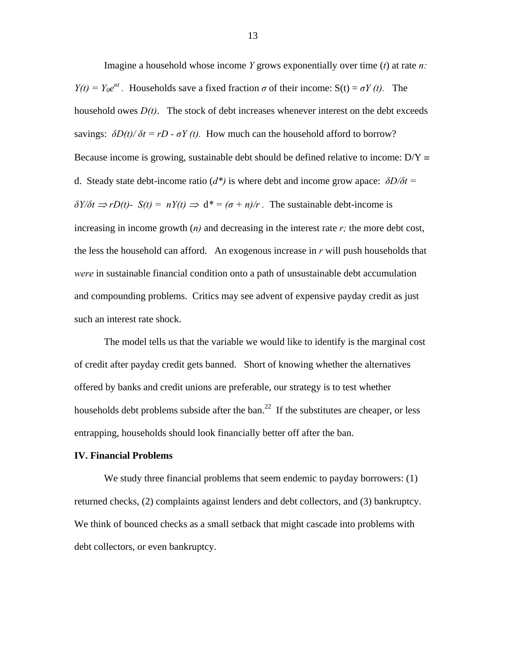Imagine a household whose income *Y* grows exponentially over time (*t*) at rate *n: Y(t)* =  $Y_0e^{nt}$ . Households save a fixed fraction  $\sigma$  of their income:  $S(t) = \sigma Y(t)$ . The household owes  $D(t)$ . The stock of debt increases whenever interest on the debt exceeds savings:  $\frac{\partial D(t)}{\partial t} = rD - \sigma Y(t)$ . How much can the household afford to borrow? Because income is growing, sustainable debt should be defined relative to income:  $D/Y \equiv$ d. Steady state debt-income ratio ( $d^*$ ) is where debt and income grow apace:  $\delta D/\delta t =$  $\delta Y/\delta t \Rightarrow rD(t)$ -  $S(t) = nY(t) \Rightarrow d^* = (\sigma + n)/r$ . The sustainable debt-income is increasing in income growth  $(n)$  and decreasing in the interest rate  $r$ ; the more debt cost, the less the household can afford. An exogenous increase in *r* will push households that *were* in sustainable financial condition onto a path of unsustainable debt accumulation and compounding problems. Critics may see advent of expensive payday credit as just such an interest rate shock.

The model tells us that the variable we would like to identify is the marginal cost of credit after payday credit gets banned. Short of knowing whether the alternatives offered by banks and credit unions are preferable, our strategy is to test whether households debt problems subside after the ban.<sup>22</sup> If the substitutes are cheaper, or less entrapping, households should look financially better off after the ban.

#### **IV. Financial Problems**

We study three financial problems that seem endemic to payday borrowers: (1) returned checks, (2) complaints against lenders and debt collectors, and (3) bankruptcy. We think of bounced checks as a small setback that might cascade into problems with debt collectors, or even bankruptcy.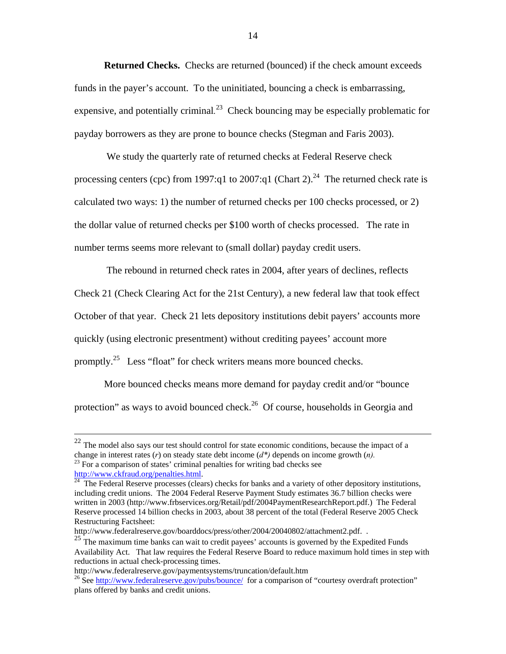**Returned Checks.** Checks are returned (bounced) if the check amount exceeds funds in the payer's account. To the uninitiated, bouncing a check is embarrassing, expensive, and potentially criminal*.* 23 Check bouncing may be especially problematic for payday borrowers as they are prone to bounce checks (Stegman and Faris 2003).

 We study the quarterly rate of returned checks at Federal Reserve check processing centers (cpc) from 1997:q1 to 2007:q1 (Chart 2).<sup>24</sup> The returned check rate is calculated two ways: 1) the number of returned checks per 100 checks processed, or 2) the dollar value of returned checks per \$100 worth of checks processed. The rate in number terms seems more relevant to (small dollar) payday credit users.

 The rebound in returned check rates in 2004, after years of declines, reflects Check 21 (Check Clearing Act for the 21st Century), a new federal law that took effect October of that year. Check 21 lets depository institutions debit payers' accounts more quickly (using electronic presentment) without crediting payees' account more promptly.<sup>25</sup> Less "float" for check writers means more bounced checks.

More bounced checks means more demand for payday credit and/or "bounce protection" as ways to avoid bounced check.<sup>26</sup> Of course, households in Georgia and

 $22$  The model also says our test should control for state economic conditions, because the impact of a change in interest rates (*r*) on steady state debt income ( $d^*$ ) depends on income growth (*n*).<sup>23</sup> For a comparison of states' criminal penalties for writing bad checks see

http://www.ckfraud.org/penalties.html.<br><sup>24</sup> The Federal Reserve processes (clears) checks for banks and a variety of other depository institutions, including credit unions. The 2004 Federal Reserve Payment Study estimates 36.7 billion checks were written in 2003 (http://www.frbservices.org/Retail/pdf/2004PaymentResearchReport.pdf.) The Federal Reserve processed 14 billion checks in 2003, about 38 percent of the total (Federal Reserve 2005 Check Restructuring Factsheet:

http://www.federalreserve.gov/boarddocs/press/other/2004/20040802/attachment2.pdf. .

 $25$ <sup>T</sup> The maximum time banks can wait to credit payees' accounts is governed by the Expedited Funds Availability Act. That law requires the Federal Reserve Board to reduce maximum hold times in step with reductions in actual check-processing times.

http://www.federalreserve.gov/paymentsystems/truncation/default.htm<br><sup>26</sup> See http://www.federalreserve.gov/pubs/bounce/ for a comparison of "courtesy overdraft protection" plans offered by banks and credit unions.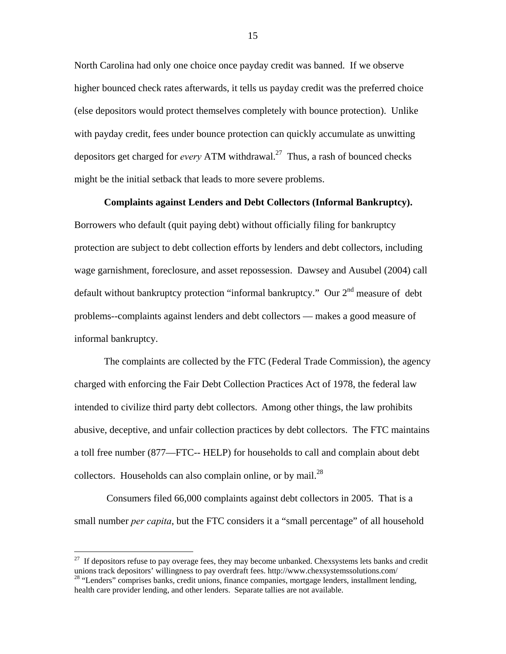North Carolina had only one choice once payday credit was banned. If we observe higher bounced check rates afterwards, it tells us payday credit was the preferred choice (else depositors would protect themselves completely with bounce protection). Unlike with payday credit, fees under bounce protection can quickly accumulate as unwitting depositors get charged for *every* ATM withdrawal.<sup>27</sup> Thus, a rash of bounced checks might be the initial setback that leads to more severe problems.

**Complaints against Lenders and Debt Collectors (Informal Bankruptcy).** 

Borrowers who default (quit paying debt) without officially filing for bankruptcy protection are subject to debt collection efforts by lenders and debt collectors, including wage garnishment, foreclosure, and asset repossession. Dawsey and Ausubel (2004) call default without bankruptcy protection "informal bankruptcy." Our 2<sup>nd</sup> measure of debt problems--complaints against lenders and debt collectors — makes a good measure of informal bankruptcy.

The complaints are collected by the FTC (Federal Trade Commission), the agency charged with enforcing the Fair Debt Collection Practices Act of 1978, the federal law intended to civilize third party debt collectors. Among other things, the law prohibits abusive, deceptive, and unfair collection practices by debt collectors. The FTC maintains a toll free number (877—FTC-- HELP) for households to call and complain about debt collectors. Households can also complain online, or by mail. $^{28}$ 

 Consumers filed 66,000 complaints against debt collectors in 2005. That is a small number *per capita*, but the FTC considers it a "small percentage" of all household

<sup>&</sup>lt;sup>27</sup> If depositors refuse to pay overage fees, they may become unbanked. Chexsystems lets banks and credit unions track depositors' willingness to pay overdraft fees. http://www.chexsystemssolutions.com/ <sup>28</sup> "Lenders" comprises banks, credit unions, finance companies, mortgage lenders, installment lending, health care provider lending, and other lenders. Separate tallies are not available.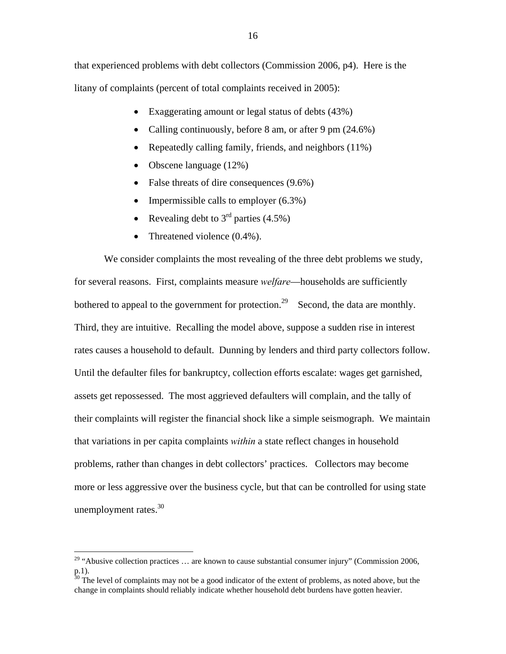that experienced problems with debt collectors (Commission 2006, p4). Here is the litany of complaints (percent of total complaints received in 2005):

- Exaggerating amount or legal status of debts (43%)
- Calling continuously, before 8 am, or after 9 pm (24.6%)
- Repeatedly calling family, friends, and neighbors (11%)
- Obscene language (12%)
- False threats of dire consequences (9.6%)
- Impermissible calls to employer  $(6.3\%)$
- Revealing debt to  $3<sup>rd</sup>$  parties (4.5%)
- Threatened violence (0.4%).

We consider complaints the most revealing of the three debt problems we study, for several reasons. First, complaints measure *welfare*—households are sufficiently bothered to appeal to the government for protection.<sup>29</sup> Second, the data are monthly. Third, they are intuitive. Recalling the model above, suppose a sudden rise in interest rates causes a household to default. Dunning by lenders and third party collectors follow. Until the defaulter files for bankruptcy, collection efforts escalate: wages get garnished, assets get repossessed. The most aggrieved defaulters will complain, and the tally of their complaints will register the financial shock like a simple seismograph. We maintain that variations in per capita complaints *within* a state reflect changes in household problems, rather than changes in debt collectors' practices. Collectors may become more or less aggressive over the business cycle, but that can be controlled for using state unemployment rates. $30$ 

<sup>&</sup>lt;sup>29</sup> "Abusive collection practices ... are known to cause substantial consumer injury" (Commission 2006, p.1).

 $30$  The level of complaints may not be a good indicator of the extent of problems, as noted above, but the change in complaints should reliably indicate whether household debt burdens have gotten heavier.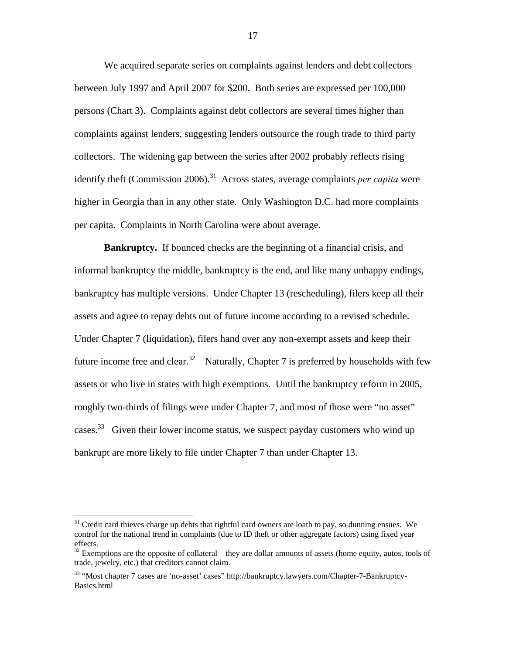We acquired separate series on complaints against lenders and debt collectors between July 1997 and April 2007 for \$200. Both series are expressed per 100,000 persons (Chart 3). Complaints against debt collectors are several times higher than complaints against lenders, suggesting lenders outsource the rough trade to third party collectors. The widening gap between the series after 2002 probably reflects rising identify theft (Commission 2006).<sup>31</sup> Across states, average complaints *per capita* were higher in Georgia than in any other state. Only Washington D.C. had more complaints per capita. Complaints in North Carolina were about average.

**Bankruptcy.** If bounced checks are the beginning of a financial crisis, and informal bankruptcy the middle, bankruptcy is the end, and like many unhappy endings, bankruptcy has multiple versions. Under Chapter 13 (rescheduling), filers keep all their assets and agree to repay debts out of future income according to a revised schedule. Under Chapter 7 (liquidation), filers hand over any non-exempt assets and keep their future income free and clear.<sup>32</sup> Naturally, Chapter 7 is preferred by households with few assets or who live in states with high exemptions. Until the bankruptcy reform in 2005, roughly two-thirds of filings were under Chapter 7, and most of those were "no asset" cases.<sup>33</sup> Given their lower income status, we suspect payday customers who wind up bankrupt are more likely to file under Chapter 7 than under Chapter 13.

 $31$  Credit card thieves charge up debts that rightful card owners are loath to pay, so dunning ensues. We control for the national trend in complaints (due to ID theft or other aggregate factors) using fixed year effects.

 $32$  Exemptions are the opposite of collateral—they are dollar amounts of assets (home equity, autos, tools of trade, jewelry, etc.) that creditors cannot claim.

<sup>33 &</sup>quot;Most chapter 7 cases are 'no-asset' cases" http://bankruptcy.lawyers.com/Chapter-7-Bankruptcy-Basics.html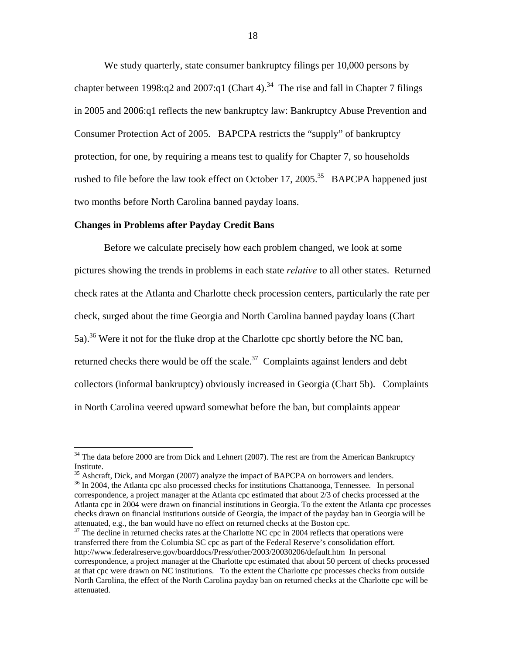We study quarterly, state consumer bankruptcy filings per 10,000 persons by chapter between 1998:q2 and 2007:q1 (Chart 4).<sup>34</sup> The rise and fall in Chapter 7 filings in 2005 and 2006:q1 reflects the new bankruptcy law: Bankruptcy Abuse Prevention and Consumer Protection Act of 2005. BAPCPA restricts the "supply" of bankruptcy protection, for one, by requiring a means test to qualify for Chapter 7, so households rushed to file before the law took effect on October 17, 2005.<sup>35</sup> BAPCPA happened just two months before North Carolina banned payday loans.

#### **Changes in Problems after Payday Credit Bans**

 $\overline{a}$ 

Before we calculate precisely how each problem changed, we look at some pictures showing the trends in problems in each state *relative* to all other states. Returned check rates at the Atlanta and Charlotte check procession centers, particularly the rate per check, surged about the time Georgia and North Carolina banned payday loans (Chart 5a).<sup>36</sup> Were it not for the fluke drop at the Charlotte cpc shortly before the NC ban, returned checks there would be off the scale.<sup>37</sup> Complaints against lenders and debt collectors (informal bankruptcy) obviously increased in Georgia (Chart 5b). Complaints in North Carolina veered upward somewhat before the ban, but complaints appear

 $34$  The data before 2000 are from Dick and Lehnert (2007). The rest are from the American Bankruptcy Institute.<br><sup>35</sup> Ashcraft, Dick, and Morgan (2007) analyze the impact of BAPCPA on borrowers and lenders.

 $36$  In 2004, the Atlanta cpc also processed checks for institutions Chattanooga, Tennessee. In personal correspondence, a project manager at the Atlanta cpc estimated that about 2/3 of checks processed at the Atlanta cpc in 2004 were drawn on financial institutions in Georgia. To the extent the Atlanta cpc processes checks drawn on financial institutions outside of Georgia, the impact of the payday ban in Georgia will be attenuated, e.g., the ban would have no effect on returned checks at the Boston cpc.

 $37$  The decline in returned checks rates at the Charlotte NC cpc in 2004 reflects that operations were transferred there from the Columbia SC cpc as part of the Federal Reserve's consolidation effort. http://www.federalreserve.gov/boarddocs/Press/other/2003/20030206/default.htm In personal correspondence, a project manager at the Charlotte cpc estimated that about 50 percent of checks processed at that cpc were drawn on NC institutions. To the extent the Charlotte cpc processes checks from outside North Carolina, the effect of the North Carolina payday ban on returned checks at the Charlotte cpc will be attenuated.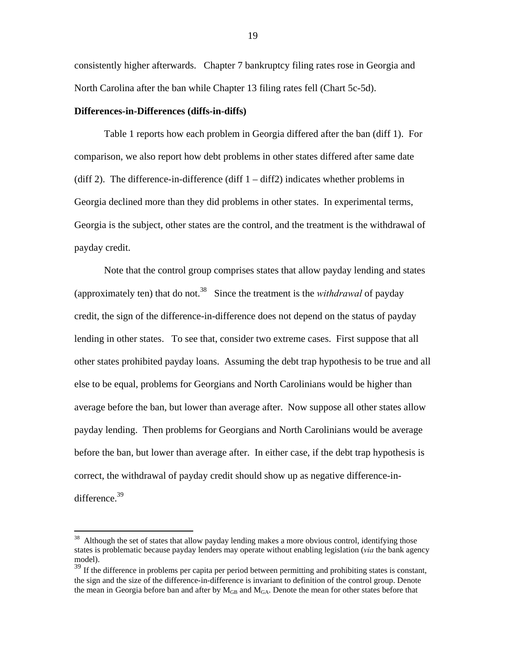consistently higher afterwards. Chapter 7 bankruptcy filing rates rose in Georgia and North Carolina after the ban while Chapter 13 filing rates fell (Chart 5c-5d).

#### **Differences-in-Differences (diffs-in-diffs)**

 $\overline{a}$ 

Table 1 reports how each problem in Georgia differed after the ban (diff 1). For comparison, we also report how debt problems in other states differed after same date (diff 2). The difference-in-difference (diff  $1 - \text{diff2}$ ) indicates whether problems in Georgia declined more than they did problems in other states. In experimental terms, Georgia is the subject, other states are the control, and the treatment is the withdrawal of payday credit.

Note that the control group comprises states that allow payday lending and states (approximately ten) that do not.38 Since the treatment is the *withdrawal* of payday credit, the sign of the difference-in-difference does not depend on the status of payday lending in other states. To see that, consider two extreme cases. First suppose that all other states prohibited payday loans. Assuming the debt trap hypothesis to be true and all else to be equal, problems for Georgians and North Carolinians would be higher than average before the ban, but lower than average after. Now suppose all other states allow payday lending. Then problems for Georgians and North Carolinians would be average before the ban, but lower than average after. In either case, if the debt trap hypothesis is correct, the withdrawal of payday credit should show up as negative difference-indifference.<sup>39</sup>

<sup>&</sup>lt;sup>38</sup> Although the set of states that allow payday lending makes a more obvious control, identifying those states is problematic because payday lenders may operate without enabling legislation (*via* the bank agency model).

 $39$  If the difference in problems per capita per period between permitting and prohibiting states is constant, the sign and the size of the difference-in-difference is invariant to definition of the control group. Denote the mean in Georgia before ban and after by  $M_{GB}$  and  $M_{GA}$ . Denote the mean for other states before that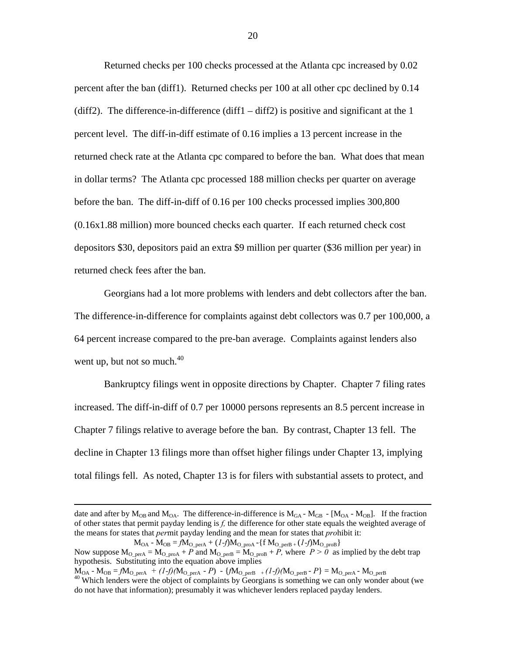Returned checks per 100 checks processed at the Atlanta cpc increased by 0.02 percent after the ban (diff1). Returned checks per 100 at all other cpc declined by 0.14 (diff2). The difference-in-difference (diff1 – diff2) is positive and significant at the 1 percent level. The diff-in-diff estimate of 0.16 implies a 13 percent increase in the returned check rate at the Atlanta cpc compared to before the ban. What does that mean in dollar terms? The Atlanta cpc processed 188 million checks per quarter on average before the ban. The diff-in-diff of 0.16 per 100 checks processed implies 300,800 (0.16x1.88 million) more bounced checks each quarter. If each returned check cost depositors \$30, depositors paid an extra \$9 million per quarter (\$36 million per year) in returned check fees after the ban.

Georgians had a lot more problems with lenders and debt collectors after the ban. The difference-in-difference for complaints against debt collectors was 0.7 per 100,000, a 64 percent increase compared to the pre-ban average. Complaints against lenders also went up, but not so much. $40$ 

Bankruptcy filings went in opposite directions by Chapter. Chapter 7 filing rates increased. The diff-in-diff of 0.7 per 10000 persons represents an 8.5 percent increase in Chapter 7 filings relative to average before the ban. By contrast, Chapter 13 fell. The decline in Chapter 13 filings more than offset higher filings under Chapter 13, implying total filings fell. As noted, Chapter 13 is for filers with substantial assets to protect, and

date and after by  $M_{\text{O}_B}$  and  $M_{\text{O}_A}$ . The difference-in-difference is  $M_{\text{G}_A}$  -  $M_{\text{G}_B}$  -  $[M_{\text{O}_A}$  -  $M_{\text{O}_B}]$ . If the fraction of other states that permit payday lending is *f,* the difference for other state equals the weighted average of the means for states that *per*mit payday lending and the mean for states that *pro*hibit it:

 $M_{OA}$  -  $M_{OB} = f M_{O\_perA} + (1-f) M_{O\_proA}$  -{f  $M_{O\_perB} + (1-f) M_{O\_proB}$ } Now suppose  $M_{O_{perA}} = M_{O_{perA}} + P$  and  $M_{O_{perB}} = M_{O_{perB}} + P$ , where  $P > 0$  as implied by the debt trap hypothesis. Substituting into the equation above implies

 $M_{OA}$  -  $M_{OB} = fM_{O\_perA} + (1-f)(M_{O\_perA} - P) - \{fM_{O\_perB} + (1-f)(M_{O\_perB} - P\} = M_{O\_perA} - M_{O\_perB}$ <br><sup>40</sup> Which lenders were the object of complaints by Georgians is something we can only wonder about (we do not have that information); presumably it was whichever lenders replaced payday lenders.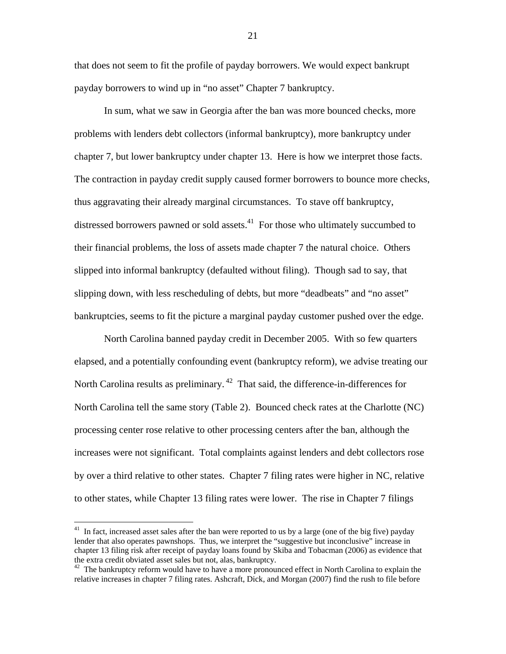that does not seem to fit the profile of payday borrowers. We would expect bankrupt payday borrowers to wind up in "no asset" Chapter 7 bankruptcy.

In sum, what we saw in Georgia after the ban was more bounced checks, more problems with lenders debt collectors (informal bankruptcy), more bankruptcy under chapter 7, but lower bankruptcy under chapter 13. Here is how we interpret those facts. The contraction in payday credit supply caused former borrowers to bounce more checks, thus aggravating their already marginal circumstances. To stave off bankruptcy, distressed borrowers pawned or sold assets.<sup>41</sup> For those who ultimately succumbed to their financial problems, the loss of assets made chapter 7 the natural choice. Others slipped into informal bankruptcy (defaulted without filing). Though sad to say, that slipping down, with less rescheduling of debts, but more "deadbeats" and "no asset" bankruptcies, seems to fit the picture a marginal payday customer pushed over the edge.

North Carolina banned payday credit in December 2005. With so few quarters elapsed, and a potentially confounding event (bankruptcy reform), we advise treating our North Carolina results as preliminary.<sup>42</sup> That said, the difference-in-differences for North Carolina tell the same story (Table 2). Bounced check rates at the Charlotte (NC) processing center rose relative to other processing centers after the ban, although the increases were not significant. Total complaints against lenders and debt collectors rose by over a third relative to other states. Chapter 7 filing rates were higher in NC, relative to other states, while Chapter 13 filing rates were lower. The rise in Chapter 7 filings

 $41$  In fact, increased asset sales after the ban were reported to us by a large (one of the big five) payday lender that also operates pawnshops. Thus, we interpret the "suggestive but inconclusive" increase in chapter 13 filing risk after receipt of payday loans found by Skiba and Tobacman (2006) as evidence that the extra credit obviated asset sales but not, alas, bankruptcy.<br><sup>42</sup> The bankruptcy reform would have to have a more pronounced effect in North Carolina to explain the

relative increases in chapter 7 filing rates. Ashcraft, Dick, and Morgan (2007) find the rush to file before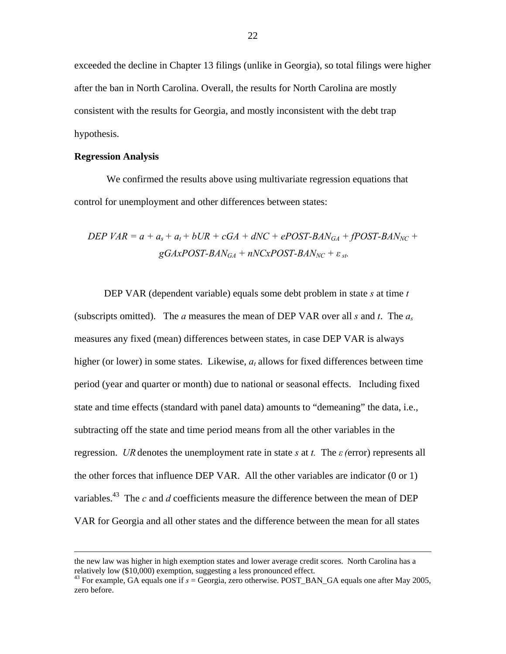exceeded the decline in Chapter 13 filings (unlike in Georgia), so total filings were higher after the ban in North Carolina. Overall, the results for North Carolina are mostly consistent with the results for Georgia, and mostly inconsistent with the debt trap hypothesis.

#### **Regression Analysis**

 We confirmed the results above using multivariate regression equations that control for unemployment and other differences between states:

$$
DEP \, VAR = a + a_s + a_t + bUR + cGA + dNC + ePOST-BAN_{GA} + fPOST-BAN_{NC} +
$$

$$
gGAxPOST-BAN_{GA} + nNCxPOST-BAN_{NC} + \varepsilon_{st}.
$$

DEP VAR (dependent variable) equals some debt problem in state *s* at time *t*  (subscripts omitted). The *a* measures the mean of DEP VAR over all *s* and *t*. The  $a_s$ measures any fixed (mean) differences between states, in case DEP VAR is always higher (or lower) in some states. Likewise, *at* allows for fixed differences between time period (year and quarter or month) due to national or seasonal effects. Including fixed state and time effects (standard with panel data) amounts to "demeaning" the data, i.e., subtracting off the state and time period means from all the other variables in the regression. *UR* denotes the unemployment rate in state *s* at *t.* The *ε(*error) represents all the other forces that influence DEP VAR. All the other variables are indicator (0 or 1) variables.<sup>43</sup> The *c* and *d* coefficients measure the difference between the mean of DEP VAR for Georgia and all other states and the difference between the mean for all states

the new law was higher in high exemption states and lower average credit scores. North Carolina has a relatively low (\$10,000) exemption, suggesting a less pronounced effect.

 $43$  For example, GA equals one if  $s =$  Georgia, zero otherwise. POST\_BAN\_GA equals one after May 2005, zero before.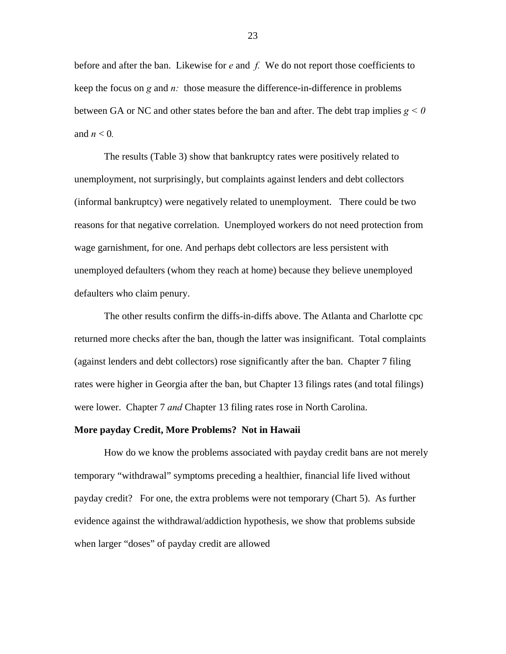before and after the ban. Likewise for *e* and *f.* We do not report those coefficients to keep the focus on *g* and *n:* those measure the difference-in-difference in problems between GA or NC and other states before the ban and after. The debt trap implies *g < 0*  and  $n < 0$ .

The results (Table 3) show that bankruptcy rates were positively related to unemployment, not surprisingly, but complaints against lenders and debt collectors (informal bankruptcy) were negatively related to unemployment. There could be two reasons for that negative correlation. Unemployed workers do not need protection from wage garnishment, for one. And perhaps debt collectors are less persistent with unemployed defaulters (whom they reach at home) because they believe unemployed defaulters who claim penury.

The other results confirm the diffs-in-diffs above. The Atlanta and Charlotte cpc returned more checks after the ban, though the latter was insignificant. Total complaints (against lenders and debt collectors) rose significantly after the ban. Chapter 7 filing rates were higher in Georgia after the ban, but Chapter 13 filings rates (and total filings) were lower. Chapter 7 *and* Chapter 13 filing rates rose in North Carolina.

#### **More payday Credit, More Problems? Not in Hawaii**

How do we know the problems associated with payday credit bans are not merely temporary "withdrawal" symptoms preceding a healthier, financial life lived without payday credit? For one, the extra problems were not temporary (Chart 5). As further evidence against the withdrawal/addiction hypothesis, we show that problems subside when larger "doses" of payday credit are allowed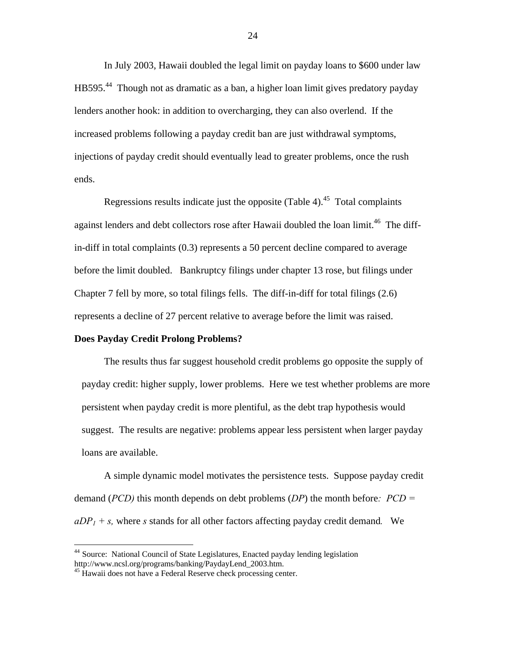In July 2003, Hawaii doubled the legal limit on payday loans to \$600 under law HB595.44 Though not as dramatic as a ban, a higher loan limit gives predatory payday lenders another hook: in addition to overcharging, they can also overlend. If the increased problems following a payday credit ban are just withdrawal symptoms, injections of payday credit should eventually lead to greater problems, once the rush ends.

Regressions results indicate just the opposite (Table 4).<sup>45</sup> Total complaints against lenders and debt collectors rose after Hawaii doubled the loan limit.<sup>46</sup> The diffin-diff in total complaints (0.3) represents a 50 percent decline compared to average before the limit doubled. Bankruptcy filings under chapter 13 rose, but filings under Chapter 7 fell by more, so total filings fells. The diff-in-diff for total filings (2.6) represents a decline of 27 percent relative to average before the limit was raised.

#### **Does Payday Credit Prolong Problems?**

 The results thus far suggest household credit problems go opposite the supply of payday credit: higher supply, lower problems. Here we test whether problems are more persistent when payday credit is more plentiful, as the debt trap hypothesis would suggest. The results are negative: problems appear less persistent when larger payday loans are available.

A simple dynamic model motivates the persistence tests. Suppose payday credit demand (*PCD)* this month depends on debt problems (*DP*) the month before*: PCD = aDP1 + s,* where *s* stands for all other factors affecting payday credit demand*.* We

<sup>&</sup>lt;sup>44</sup> Source: National Council of State Legislatures, Enacted payday lending legislation http://www.ncsl.org/programs/banking/PaydayLend\_2003.htm.<br><sup>45</sup> Hawaii does not have a Federal Reserve check processing center.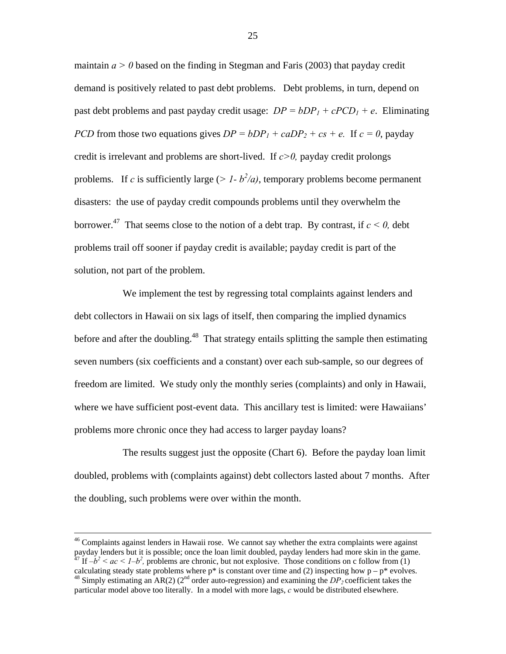maintain  $a > 0$  based on the finding in Stegman and Faris (2003) that payday credit demand is positively related to past debt problems. Debt problems, in turn, depend on past debt problems and past payday credit usage:  $DP = bDP_1 + cPCD_1 + e$ . Eliminating *PCD* from those two equations gives  $DP = bDP_1 + caDP_2 + cs + e$ . If  $c = 0$ , payday credit is irrelevant and problems are short-lived. If *c>0,* payday credit prolongs problems. If *c* is sufficiently large ( $> 1 - b^2/a$ ), temporary problems become permanent disasters: the use of payday credit compounds problems until they overwhelm the borrower.<sup>47</sup> That seems close to the notion of a debt trap. By contrast, if  $c \le 0$ , debt problems trail off sooner if payday credit is available; payday credit is part of the solution, not part of the problem.

 We implement the test by regressing total complaints against lenders and debt collectors in Hawaii on six lags of itself, then comparing the implied dynamics before and after the doubling.<sup>48</sup> That strategy entails splitting the sample then estimating seven numbers (six coefficients and a constant) over each sub-sample, so our degrees of freedom are limited. We study only the monthly series (complaints) and only in Hawaii, where we have sufficient post-event data. This ancillary test is limited: were Hawaiians' problems more chronic once they had access to larger payday loans?

 The results suggest just the opposite (Chart 6). Before the payday loan limit doubled, problems with (complaints against) debt collectors lasted about 7 months. After the doubling, such problems were over within the month.

 $46$  Complaints against lenders in Hawaii rose. We cannot say whether the extra complaints were against payday lenders but it is possible; once the loan limit doubled, payday lenders had more skin in the game.  $^{47}$  If  $-b^2$  < ac <  $1-b^2$ , problems are chronic, but not explosive. Those conditions on c follow from (1) calculating steady state problems where  $p^*$  is constant over time and (2) inspecting how  $p - p^*$  evolves.  $^{48}$  Simply estimating an AR(2) ( $2<sup>nd</sup>$  order auto-regression) and examining the  $DP<sub>2</sub>$  coefficient takes the particular model above too literally. In a model with more lags, *c* would be distributed elsewhere.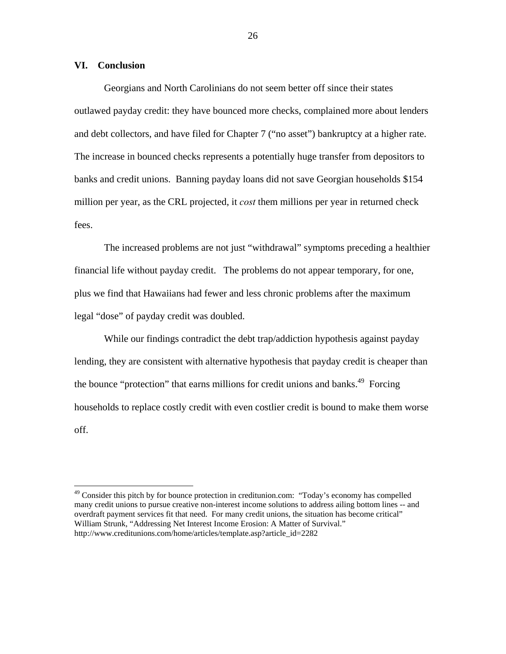#### **VI. Conclusion**

1

Georgians and North Carolinians do not seem better off since their states outlawed payday credit: they have bounced more checks, complained more about lenders and debt collectors, and have filed for Chapter 7 ("no asset") bankruptcy at a higher rate. The increase in bounced checks represents a potentially huge transfer from depositors to banks and credit unions. Banning payday loans did not save Georgian households \$154 million per year, as the CRL projected, it *cost* them millions per year in returned check fees.

The increased problems are not just "withdrawal" symptoms preceding a healthier financial life without payday credit. The problems do not appear temporary, for one, plus we find that Hawaiians had fewer and less chronic problems after the maximum legal "dose" of payday credit was doubled.

While our findings contradict the debt trap/addiction hypothesis against payday lending, they are consistent with alternative hypothesis that payday credit is cheaper than the bounce "protection" that earns millions for credit unions and banks.<sup>49</sup> Forcing households to replace costly credit with even costlier credit is bound to make them worse off.

<sup>&</sup>lt;sup>49</sup> Consider this pitch by for bounce protection in creditunion.com: "Today's economy has compelled many credit unions to pursue creative non-interest income solutions to address ailing bottom lines -- and overdraft payment services fit that need. For many credit unions, the situation has become critical" William Strunk, "Addressing Net Interest Income Erosion: A Matter of Survival." http://www.creditunions.com/home/articles/template.asp?article\_id=2282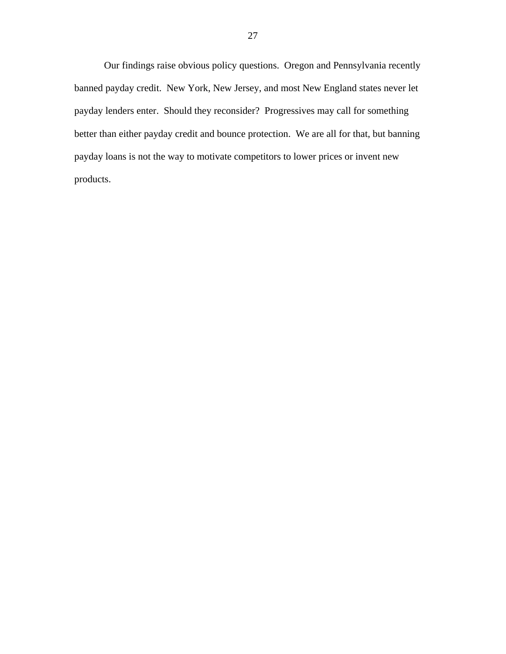Our findings raise obvious policy questions. Oregon and Pennsylvania recently banned payday credit. New York, New Jersey, and most New England states never let payday lenders enter. Should they reconsider? Progressives may call for something better than either payday credit and bounce protection. We are all for that, but banning payday loans is not the way to motivate competitors to lower prices or invent new products.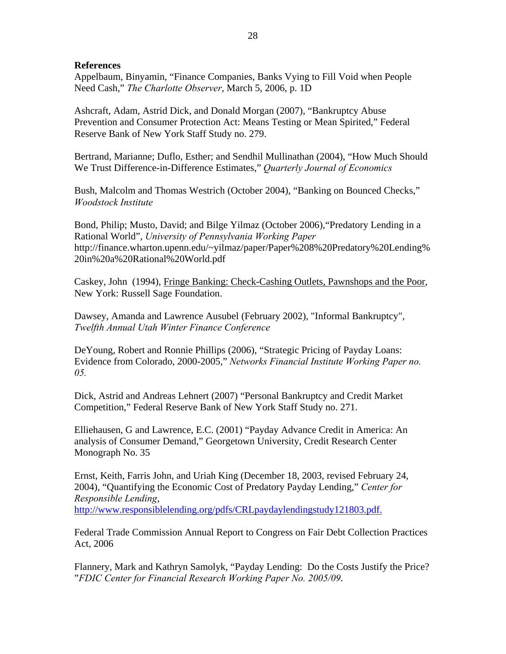### **References**

Appelbaum, Binyamin, "Finance Companies, Banks Vying to Fill Void when People Need Cash," *The Charlotte Observer*, March 5, 2006, p. 1D

Ashcraft, Adam, Astrid Dick, and Donald Morgan (2007), "Bankruptcy Abuse Prevention and Consumer Protection Act: Means Testing or Mean Spirited," Federal Reserve Bank of New York Staff Study no. 279.

Bertrand, Marianne; Duflo, Esther; and Sendhil Mullinathan (2004), "How Much Should We Trust Difference-in-Difference Estimates," *Quarterly Journal of Economics*

Bush, Malcolm and Thomas Westrich (October 2004), "Banking on Bounced Checks," *Woodstock Institute*

Bond, Philip; Musto, David; and Bilge Yilmaz (October 2006),"Predatory Lending in a Rational World", *University of Pennsylvania Working Paper*  http://finance.wharton.upenn.edu/~yilmaz/paper/Paper%208%20Predatory%20Lending% 20in%20a%20Rational%20World.pdf

Caskey, John (1994), Fringe Banking: Check-Cashing Outlets, Pawnshops and the Poor, New York: Russell Sage Foundation.

Dawsey, Amanda and Lawrence Ausubel (February 2002), "Informal Bankruptcy", *Twelfth Annual Utah Winter Finance Conference*

DeYoung, Robert and Ronnie Phillips (2006), "Strategic Pricing of Payday Loans: Evidence from Colorado, 2000-2005," *Networks Financial Institute Working Paper no. 05.*

Dick, Astrid and Andreas Lehnert (2007) "Personal Bankruptcy and Credit Market Competition," Federal Reserve Bank of New York Staff Study no. 271.

Elliehausen, G and Lawrence, E.C. (2001) "Payday Advance Credit in America: An analysis of Consumer Demand," Georgetown University, Credit Research Center Monograph No. 35

Ernst, Keith, Farris John, and Uriah King (December 18, 2003, revised February 24, 2004), "Quantifying the Economic Cost of Predatory Payday Lending," *Center for Responsible Lending*, http://www.responsiblelending.org/pdfs/CRLpaydaylendingstudy121803.pdf.

Federal Trade Commission Annual Report to Congress on Fair Debt Collection Practices Act, 2006

Flannery, Mark and Kathryn Samolyk, "Payday Lending: Do the Costs Justify the Price? "*FDIC Center for Financial Research Working Paper No. 2005/09*.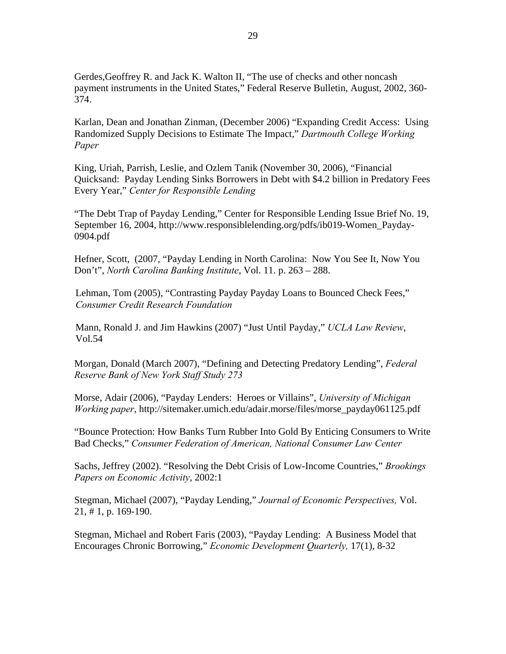Gerdes,Geoffrey R. and Jack K. Walton II, "The use of checks and other noncash payment instruments in the United States," Federal Reserve Bulletin, August, 2002, 360- 374.

Karlan, Dean and Jonathan Zinman, (December 2006) "Expanding Credit Access: Using Randomized Supply Decisions to Estimate The Impact," *Dartmouth College Working Paper*

King, Uriah, Parrish, Leslie, and Ozlem Tanik (November 30, 2006), "Financial Quicksand: Payday Lending Sinks Borrowers in Debt with \$4.2 billion in Predatory Fees Every Year," *Center for Responsible Lending*

"The Debt Trap of Payday Lending," Center for Responsible Lending Issue Brief No. 19, September 16, 2004, http://www.responsiblelending.org/pdfs/ib019-Women\_Payday-0904.pdf

Hefner, Scott, (2007, "Payday Lending in North Carolina: Now You See It, Now You Don't", *North Carolina Banking Institute*, Vol. 11. p. 263 – 288.

Lehman, Tom (2005), "Contrasting Payday Payday Loans to Bounced Check Fees," *Consumer Credit Research Foundation*

Mann, Ronald J. and Jim Hawkins (2007) "Just Until Payday," *UCLA Law Review*, Vol.54

Morgan, Donald (March 2007), "Defining and Detecting Predatory Lending", *Federal Reserve Bank of New York Staff Study 273*

Morse, Adair (2006), "Payday Lenders: Heroes or Villains", *University of Michigan Working paper*, http://sitemaker.umich.edu/adair.morse/files/morse\_payday061125.pdf

"Bounce Protection: How Banks Turn Rubber Into Gold By Enticing Consumers to Write Bad Checks," *Consumer Federation of American, National Consumer Law Center*

Sachs, Jeffrey (2002). "Resolving the Debt Crisis of Low-Income Countries," *Brookings Papers on Economic Activity*, 2002:1

Stegman, Michael (2007), "Payday Lending," *Journal of Economic Perspectives,* Vol. 21, # 1, p. 169-190.

Stegman, Michael and Robert Faris (2003), "Payday Lending: A Business Model that Encourages Chronic Borrowing," *Economic Development Quarterly,* 17(1), 8-32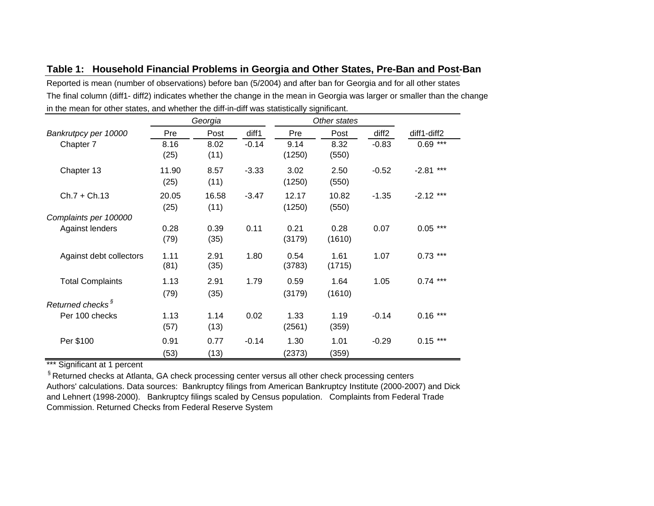|  |  |  |  |  | Table 1: Household Financial Problems in Georgia and Other States, Pre-Ban and Post-Ban |
|--|--|--|--|--|-----------------------------------------------------------------------------------------|
|--|--|--|--|--|-----------------------------------------------------------------------------------------|

Reported is mean (number of observations) before ban (5/2004) and after ban for Georgia and for all other states The final column (diff1- diff2) indicates whether the change in the mean in Georgia was larger or smaller than the change in the mean for other states, and whether the diff-in-diff was statistically significant.

|                              | Georgia       |               | Other states |                 |                |                   |                |
|------------------------------|---------------|---------------|--------------|-----------------|----------------|-------------------|----------------|
| Bankrutpcy per 10000         | Pre           | Post          | diff1        | Pre             | Post           | diff <sub>2</sub> | diff1-diff2    |
| Chapter 7                    | 8.16<br>(25)  | 8.02<br>(11)  | $-0.14$      | 9.14<br>(1250)  | 8.32<br>(550)  | $-0.83$           | $0.69***$      |
| Chapter 13                   | 11.90<br>(25) | 8.57<br>(11)  | $-3.33$      | 3.02<br>(1250)  | 2.50<br>(550)  | $-0.52$           | ***<br>$-2.81$ |
| $Ch.7 + Ch.13$               | 20.05<br>(25) | 16.58<br>(11) | $-3.47$      | 12.17<br>(1250) | 10.82<br>(550) | $-1.35$           | $-2.12$ ***    |
| Complaints per 100000        |               |               |              |                 |                |                   |                |
| Against lenders              | 0.28<br>(79)  | 0.39<br>(35)  | 0.11         | 0.21<br>(3179)  | 0.28<br>(1610) | 0.07              | $0.05***$      |
| Against debt collectors      | 1.11<br>(81)  | 2.91<br>(35)  | 1.80         | 0.54<br>(3783)  | 1.61<br>(1715) | 1.07              | $0.73$ ***     |
| <b>Total Complaints</b>      | 1.13<br>(79)  | 2.91<br>(35)  | 1.79         | 0.59<br>(3179)  | 1.64<br>(1610) | 1.05              | $0.74***$      |
| Returned checks <sup>§</sup> |               |               |              |                 |                |                   |                |
| Per 100 checks               | 1.13<br>(57)  | 1.14<br>(13)  | 0.02         | 1.33<br>(2561)  | 1.19<br>(359)  | $-0.14$           | $0.16***$      |
| Per \$100                    | 0.91<br>(53)  | 0.77<br>(13)  | $-0.14$      | 1.30<br>(2373)  | 1.01<br>(359)  | $-0.29$           | $0.15***$      |

\*\*\* Significant at 1 percent

§ Returned checks at Atlanta, GA check processing center versus all other check processing centers Authors' calculations. Data sources: Bankruptcy filings from American Bankruptcy Institute (2000-2007) and Dick and Lehnert (1998-2000). Bankruptcy filings scaled by Census population. Complaints from Federal Trade Commission. Returned Checks from Federal Reserve System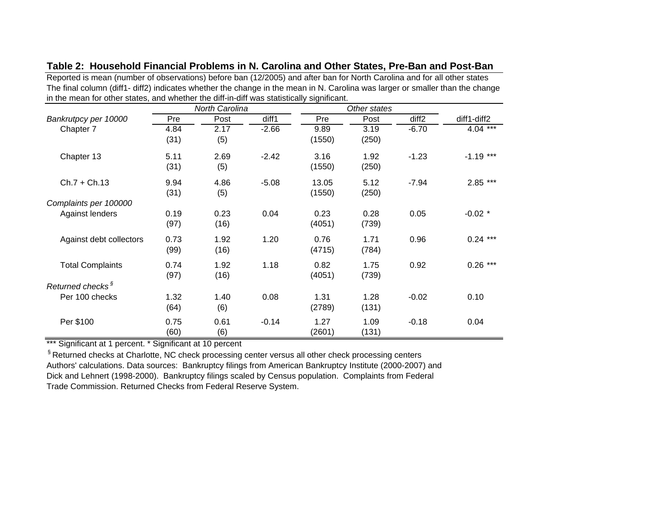| $\overline{a}$ are mean for other states, and whether the unit in unit was statistically significant. | <b>North Carolina</b> |      |         | Other states |       |                   |             |
|-------------------------------------------------------------------------------------------------------|-----------------------|------|---------|--------------|-------|-------------------|-------------|
| Bankrutpcy per 10000                                                                                  | Pre                   | Post | diff1   | Pre          | Post  | diff <sub>2</sub> | diff1-diff2 |
| Chapter 7                                                                                             | 4.84                  | 2.17 | $-2.66$ | 9.89         | 3.19  | $-6.70$           | $4.04***$   |
|                                                                                                       | (31)                  | (5)  |         | (1550)       | (250) |                   |             |
| Chapter 13                                                                                            | 5.11                  | 2.69 | $-2.42$ | 3.16         | 1.92  | $-1.23$           | $-1.19$ *** |
|                                                                                                       | (31)                  | (5)  |         | (1550)       | (250) |                   |             |
| $Ch.7 + Ch.13$                                                                                        | 9.94                  | 4.86 | $-5.08$ | 13.05        | 5.12  | $-7.94$           | $2.85***$   |
|                                                                                                       | (31)                  | (5)  |         | (1550)       | (250) |                   |             |
| Complaints per 100000                                                                                 |                       |      |         |              |       |                   |             |
| Against lenders                                                                                       | 0.19                  | 0.23 | 0.04    | 0.23         | 0.28  | 0.05              | $-0.02$ *   |
|                                                                                                       | (97)                  | (16) |         | (4051)       | (739) |                   |             |
| Against debt collectors                                                                               | 0.73                  | 1.92 | 1.20    | 0.76         | 1.71  | 0.96              | $0.24***$   |
|                                                                                                       | (99)                  | (16) |         | (4715)       | (784) |                   |             |
| <b>Total Complaints</b>                                                                               | 0.74                  | 1.92 | 1.18    | 0.82         | 1.75  | 0.92              | $0.26***$   |
|                                                                                                       | (97)                  | (16) |         | (4051)       | (739) |                   |             |
| Returned checks <sup>§</sup>                                                                          |                       |      |         |              |       |                   |             |
| Per 100 checks                                                                                        | 1.32                  | 1.40 | 0.08    | 1.31         | 1.28  | $-0.02$           | 0.10        |
|                                                                                                       | (64)                  | (6)  |         | (2789)       | (131) |                   |             |
| Per \$100                                                                                             | 0.75                  | 0.61 | $-0.14$ | 1.27         | 1.09  | $-0.18$           | 0.04        |
|                                                                                                       | (60)                  | (6)  |         | (2601)       | (131) |                   |             |

**Table 2: Household Financial Problems in N. Carolina and Other States, Pre-Ban and Post-Ban** 

Reported is mean (number of observations) before ban (12/2005) and after ban for North Carolina and for all other states The final column (diff1- diff2) indicates whether the change in the mean in N. Carolina was larger or smaller than the change in the mean for other states, and whether the diff-in-diff was statistically significant.

\*\*\* Significant at 1 percent. \* Significant at 10 percent

<sup>§</sup> Returned checks at Charlotte, NC check processing center versus all other check processing centers Authors' calculations. Data sources: Bankruptcy filings from American Bankruptcy Institute (2000-2007) and Dick and Lehnert (1998-2000). Bankruptcy filings scaled by Census population. Complaints from Federal Trade Commission. Returned Checks from Federal Reserve System.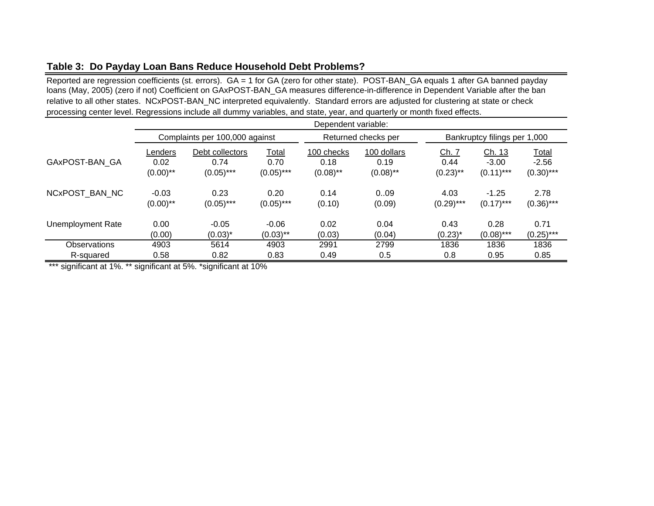# **Table 3: Do Payday Loan Bans Reduce Household Debt Problems?**

Reported are regression coefficients (st. errors). GA = 1 for GA (zero for other state). POST-BAN\_GA equals 1 after GA banned payday loans (May, 2005) (zero if not) Coefficient on GAxPOST-BAN\_GA measures difference-in-difference in Dependent Variable after the ban relative to all other states. NCxPOST-BAN\_NC interpreted equivalently. Standard errors are adjusted for clustering at state or check processing center level. Regressions include all dummy variables, and state, year, and quarterly or month fixed effects.

|                          | Dependent variable:            |                                         |                                      |                                   |                                    |                              |                                   |                                         |  |
|--------------------------|--------------------------------|-----------------------------------------|--------------------------------------|-----------------------------------|------------------------------------|------------------------------|-----------------------------------|-----------------------------------------|--|
|                          | Complaints per 100,000 against |                                         |                                      |                                   | Returned checks per                |                              | Bankruptcy filings per 1,000      |                                         |  |
| GAxPOST-BAN GA           | Lenders<br>0.02<br>$(0.00)$ ** | Debt collectors<br>0.74<br>$(0.05)$ *** | <b>Total</b><br>0.70<br>$(0.05)$ *** | 100 checks<br>0.18<br>$(0.08)$ ** | 100 dollars<br>0.19<br>$(0.08)$ ** | Ch. 7<br>0.44<br>$(0.23)$ ** | Ch. 13<br>$-3.00$<br>$(0.11)$ *** | <b>Total</b><br>$-2.56$<br>$(0.30)$ *** |  |
| NCxPOST BAN NC           | $-0.03$<br>$(0.00)$ **         | 0.23<br>$(0.05)$ ***                    | 0.20<br>$(0.05)$ ***                 | 0.14<br>(0.10)                    | 0.09<br>(0.09)                     | 4.03<br>$(0.29)$ ***         | $-1.25$<br>$(0.17)$ ***           | 2.78<br>$(0.36)$ ***                    |  |
| <b>Unemployment Rate</b> | 0.00<br>(0.00)                 | $-0.05$<br>$(0.03)^*$                   | $-0.06$<br>$(0.03)$ **               | 0.02<br>(0.03)                    | 0.04<br>(0.04)                     | 0.43<br>$(0.23)^{*}$         | 0.28<br>$(0.08)$ ***              | 0.71<br>$(0.25)$ ***                    |  |
| <b>Observations</b>      | 4903                           | 5614                                    | 4903                                 | 2991                              | 2799                               | 1836                         | 1836                              | 1836                                    |  |
| R-squared                | 0.58                           | 0.82                                    | 0.83                                 | 0.49                              | 0.5                                | 0.8                          | 0.95                              | 0.85                                    |  |

\*\*\* significant at 1%. \*\* significant at 5%. \*significant at 10%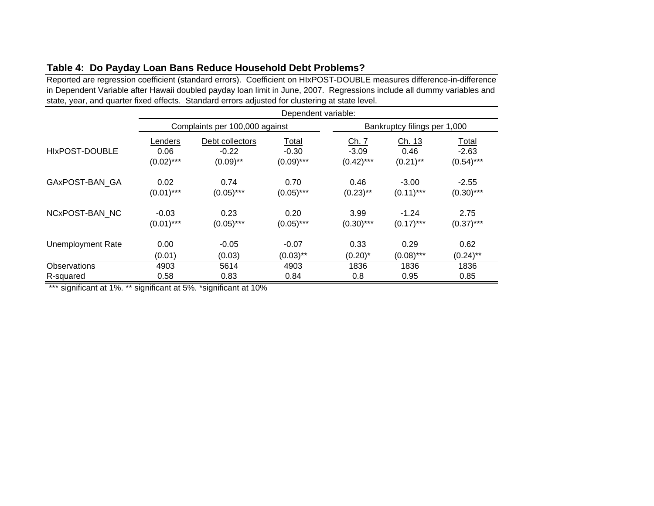# **Table 4: Do Payday Loan Bans Reduce Household Debt Problems?**

Reported are regression coefficient (standard errors). Coefficient on HIxPOST-DOUBLE measures difference-in-difference in Dependent Variable after Hawaii doubled payday loan limit in June, 2007. Regressions include all dummy variables and state, year, and quarter fixed effects. Standard errors adjusted for clustering at state level. ÷,

|                   | Dependent variable: |                                |              |              |                              |              |  |  |
|-------------------|---------------------|--------------------------------|--------------|--------------|------------------------------|--------------|--|--|
|                   |                     | Complaints per 100,000 against |              |              | Bankruptcy filings per 1,000 |              |  |  |
| HIxPOST-DOUBLE    | Lenders             | Debt collectors                | <b>Total</b> | <u>Ch. 7</u> | <u>Ch. 13</u>                | <u>Total</u> |  |  |
|                   | 0.06                | $-0.22$                        | $-0.30$      | $-3.09$      | 0.46                         | $-2.63$      |  |  |
|                   | $(0.02)$ ***        | $(0.09)$ **                    | $(0.09)$ *** | $(0.42)$ *** | $(0.21)$ **                  | $(0.54)$ *** |  |  |
| GAxPOST-BAN GA    | 0.02                | 0.74                           | 0.70         | 0.46         | $-3.00$                      | $-2.55$      |  |  |
|                   | $(0.01)$ ***        | $(0.05)$ ***                   | $(0.05)$ *** | $(0.23)$ **  | $(0.11)$ ***                 | $(0.30)$ *** |  |  |
| NCxPOST-BAN NC    | $-0.03$             | 0.23                           | 0.20         | 3.99         | $-1.24$                      | 2.75         |  |  |
|                   | $(0.01)$ ***        | $(0.05)$ ***                   | $(0.05)$ *** | $(0.30)$ *** | $(0.17)$ ***                 | $(0.37)$ *** |  |  |
| Unemployment Rate | 0.00                | $-0.05$                        | $-0.07$      | 0.33         | 0.29                         | 0.62         |  |  |
|                   | (0.01)              | (0.03)                         | $(0.03)$ **  | $(0.20)^*$   | $(0.08)$ ***                 | $(0.24)$ **  |  |  |
| Observations      | 4903                | 5614                           | 4903         | 1836         | 1836                         | 1836         |  |  |
| R-squared         | 0.58                | 0.83                           | 0.84         | 0.8          | 0.95                         | 0.85         |  |  |

\*\*\* significant at 1%. \*\* significant at 5%. \*significant at 10%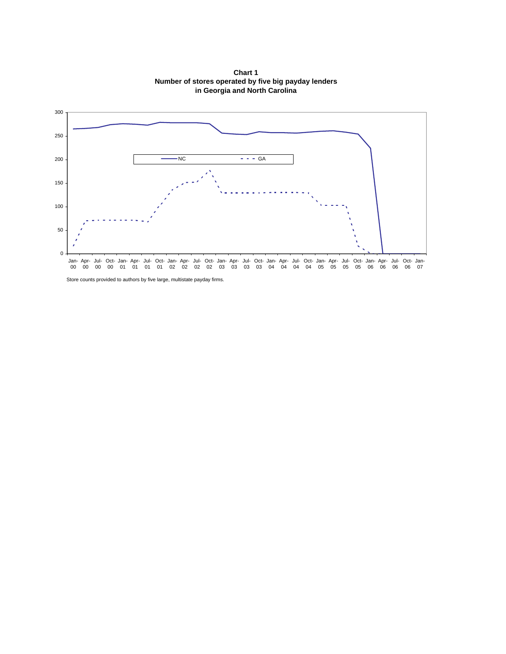

**Chart 1 Number of stores operated by five big payday lenders in Georgia and North Carolina** 

Store counts provided to authors by five large, multistate payday firms.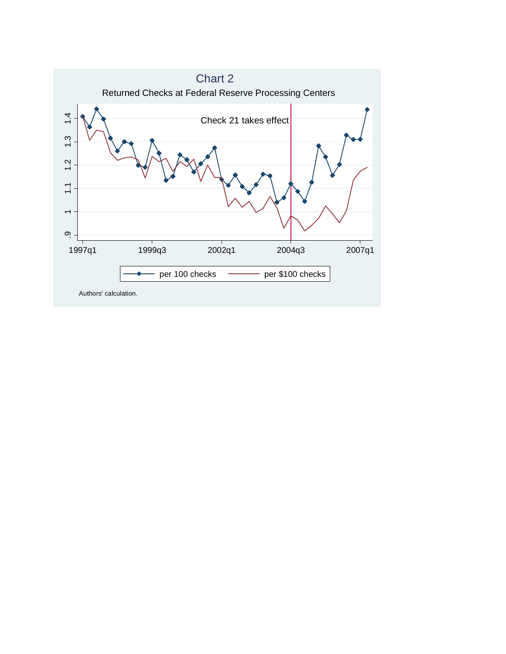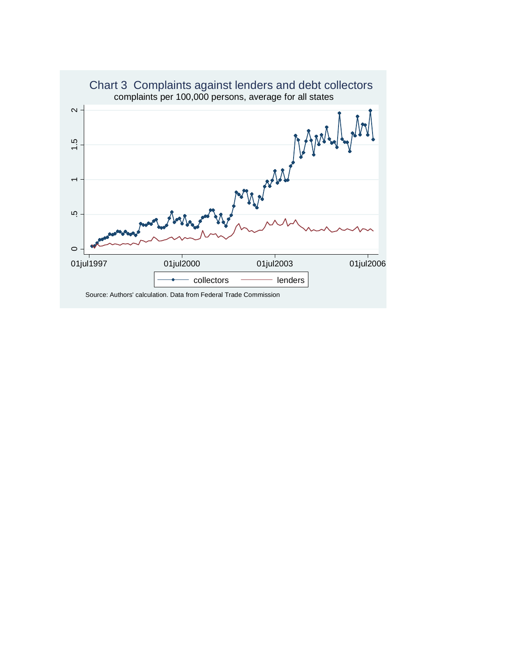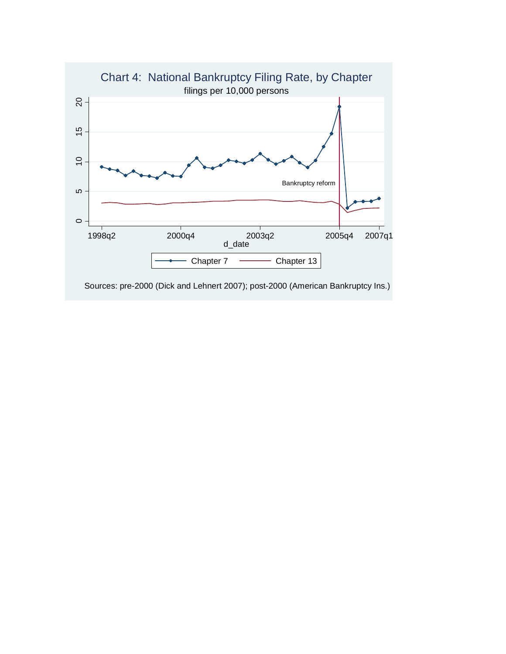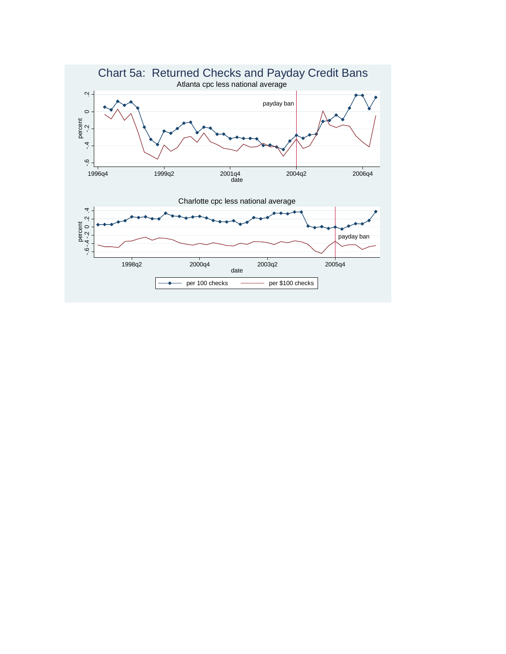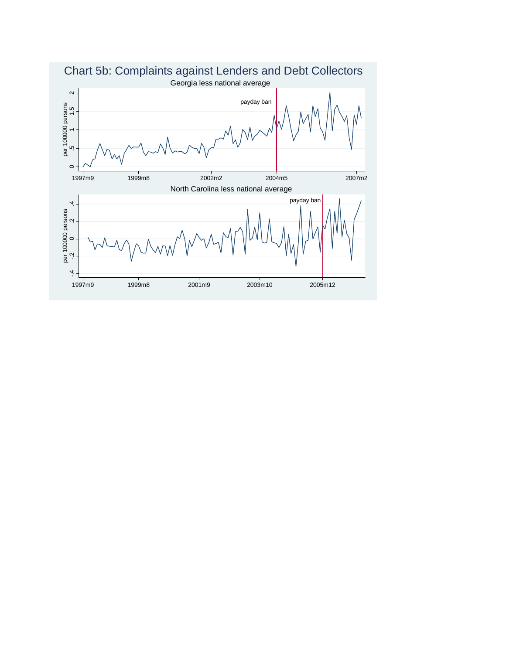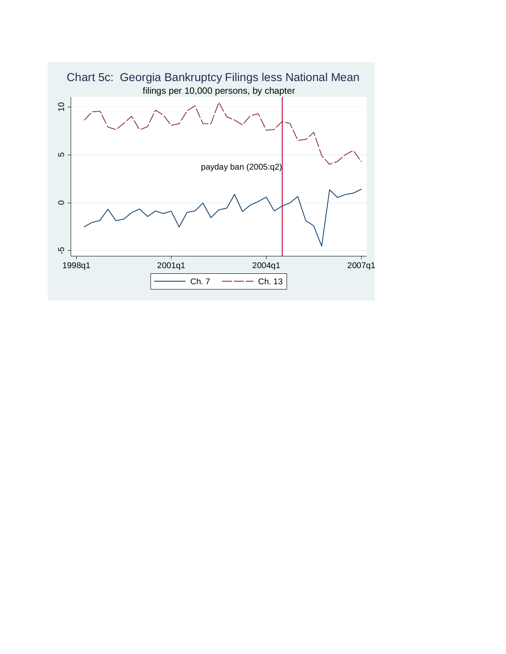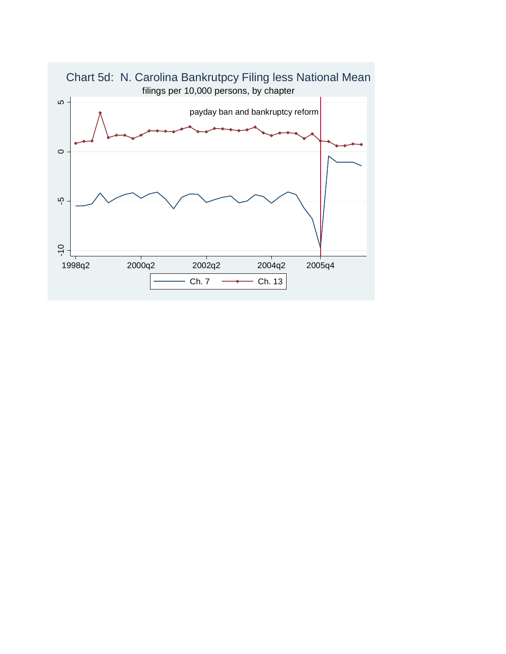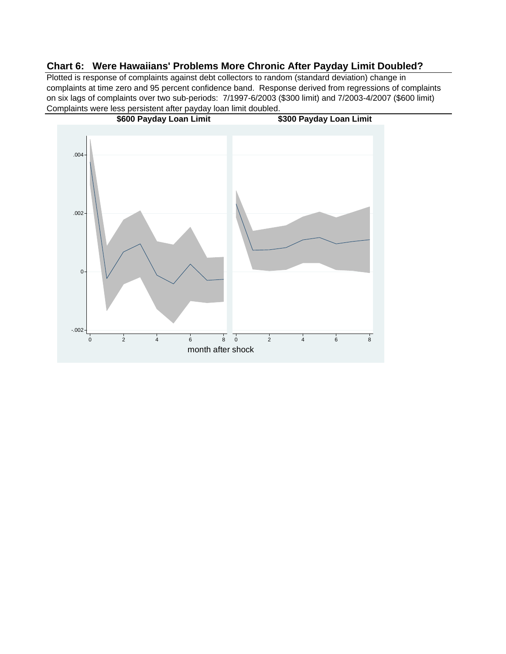# **Chart 6: Were Hawaiians' Problems More Chronic After Payday Limit Doubled?**

Plotted is response of complaints against debt collectors to random (standard deviation) change in complaints at time zero and 95 percent confidence band. Response derived from regressions of complaints on six lags of complaints over two sub-periods: 7/1997-6/2003 (\$300 limit) and 7/2003-4/2007 (\$600 limit) Complaints were less persistent after payday loan limit doubled.

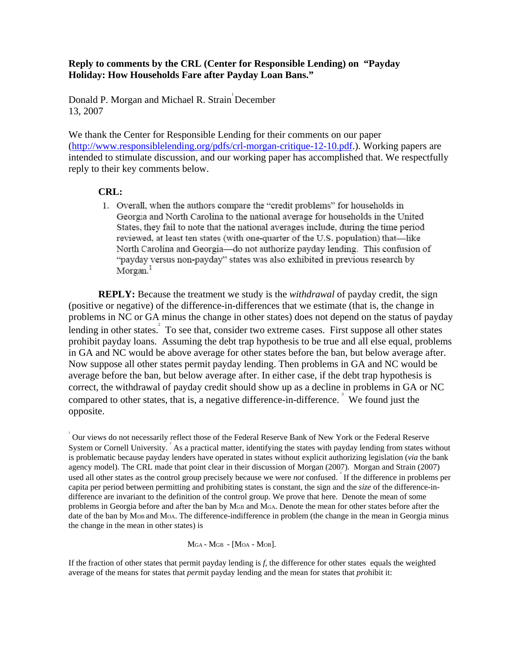# **Reply to comments by the CRL (Center for Responsible Lending) on "Payday Holiday: How Households Fare after Payday Loan Bans."**

Donald P. Morgan and Michael R. Strain December 13, 2007

We thank the Center for Responsible Lending for their comments on our paper (http://www.responsiblelending.org/pdfs/crl-morgan-critique-12-10.pdf.). Working papers are intended to stimulate discussion, and our working paper has accomplished that. We respectfully reply to their key comments below.

# **CRL:**

1. Overall, when the authors compare the "credit problems" for households in Georgia and North Carolina to the national average for households in the United States, they fail to note that the national averages include, during the time period reviewed, at least ten states (with one-quarter of the U.S. population) that-like North Carolina and Georgia-do not authorize payday lending. This confusion of "payday versus non-payday" states was also exhibited in previous research by Morgan.<sup>1</sup>

**REPLY:** Because the treatment we study is the *withdrawal* of payday credit, the sign (positive or negative) of the difference-in-differences that we estimate (that is, the change in problems in NC or GA minus the change in other states) does not depend on the status of payday lending in other states. To see that, consider two extreme cases. First suppose all other states prohibit payday loans. Assuming the debt trap hypothesis to be true and all else equal, problems in GA and NC would be above average for other states before the ban, but below average after. Now suppose all other states permit payday lending. Then problems in GA and NC would be average before the ban, but below average after. In either case, if the debt trap hypothesis is correct, the withdrawal of payday credit should show up as a decline in problems in GA or NC compared to other states, that is, a negative difference-in-difference.<sup>3</sup> We found just the opposite.

1 Our views do not necessarily reflect those of the Federal Reserve Bank of New York or the Federal Reserve System or Cornell University.  $\frac{3}{4}$  As a practical matter, identifying the states with payday lending from states without is problematic because payday lenders have operated in states without explicit authorizing legislation (*via* the bank agency model). The CRL made that point clear in their discussion of Morgan (2007). Morgan and Strain (2007) used all other states as the control group precisely because we were *not* confused.<sup>3</sup> If the difference in problems per capita per period between permitting and prohibiting states is constant, the sign and the *size* of the difference-indifference are invariant to the definition of the control group. We prove that here. Denote the mean of some problems in Georgia before and after the ban by MGB and MGA. Denote the mean for other states before after the date of the ban by MoB and MoA. The difference-indifference in problem (the change in the mean in Georgia minus the change in the mean in other states) is

MGA - MGB - [MOA - MOB].

If the fraction of other states that permit payday lending is *f,* the difference for other states equals the weighted average of the means for states that *per*mit payday lending and the mean for states that *pro*hibit it: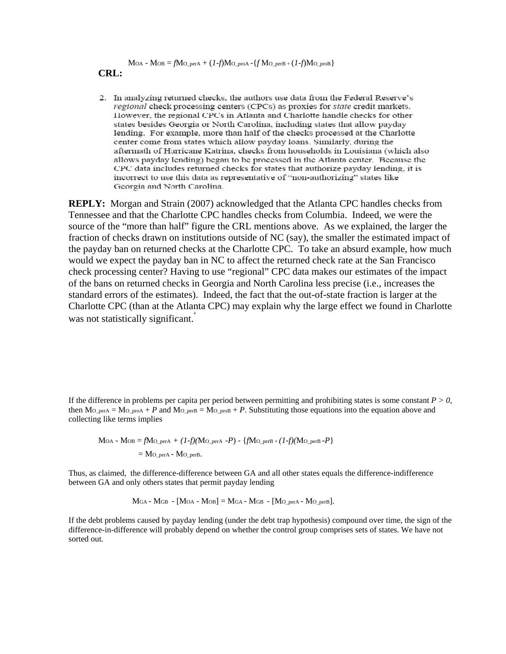$M$ OA -  $M$ OB =  $f$  $M$ O<sub>\_</sub>perA +  $(I-f)$  $M$ O\_proA -  $\{f$  $M$ O\_perB +  $(I-f)$  $M$ O\_proB $\}$ 

**CRL:** 

2. In analyzing returned checks, the authors use data from the Federal Reserve's regional check processing centers (CPCs) as proxies for state credit markets. However, the regional CPCs in Atlanta and Charlotte handle checks for other states besides Georgia or North Carolina, including states that allow payday lending. For example, more than half of the checks processed at the Charlotte center come from states which allow payday loans. Similarly, during the aftermath of Hurricane Katrina, checks from households in Louisiana (which also allows payday lending) began to be processed in the Atlanta center. Because the CPC data includes returned checks for states that authorize payday lending, it is incorrect to use this data as representative of "non-authorizing" states like Georgia and North Carolina.

**REPLY:** Morgan and Strain (2007) acknowledged that the Atlanta CPC handles checks from Tennessee and that the Charlotte CPC handles checks from Columbia. Indeed, we were the source of the "more than half" figure the CRL mentions above. As we explained, the larger the fraction of checks drawn on institutions outside of NC (say), the smaller the estimated impact of the payday ban on returned checks at the Charlotte CPC. To take an absurd example, how much would we expect the payday ban in NC to affect the returned check rate at the San Francisco check processing center? Having to use "regional" CPC data makes our estimates of the impact of the bans on returned checks in Georgia and North Carolina less precise (i.e., increases the standard errors of the estimates). Indeed, the fact that the out-of-state fraction is larger at the Charlotte CPC (than at the Atlanta CPC) may explain why the large effect we found in Charlotte was not statistically significant.

If the difference in problems per capita per period between permitting and prohibiting states is some constant *P > 0*, then  $MO_{per}A = MO_{per} + P$  and  $MO_{per}B = MO_{pro} + P$ . Substituting those equations into the equation above and collecting like terms implies

$$
MOA - MOB = fMO_{\text{per}A} + (1-f)(MO_{\text{per}A} - P) - \{fMO_{\text{per}B} + (1-f)(MO_{\text{per}B} - P)\}
$$
  
= MO\_{\text{per}A - MO\_{\text{per}B}.

Thus, as claimed, the difference-difference between GA and all other states equals the difference-indifference between GA and only others states that permit payday lending

 $M<sub>GA</sub> - M<sub>GB</sub> - [M<sub>OA</sub> - M<sub>OB</sub>] = M<sub>GA</sub> - M<sub>GB</sub> - [M<sub>O-perB</sub>]$ .

If the debt problems caused by payday lending (under the debt trap hypothesis) compound over time, the sign of the difference-in-difference will probably depend on whether the control group comprises sets of states. We have not sorted out.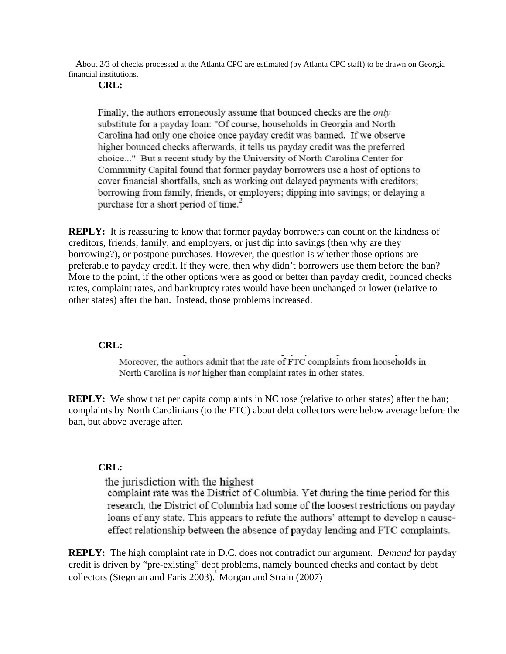About 2/3 of checks processed at the Atlanta CPC are estimated (by Atlanta CPC staff) to be drawn on Georgia financial institutions.

### **CRL:**

Finally, the authors erroneously assume that bounced checks are the only substitute for a payday loan: "Of course, households in Georgia and North Carolina had only one choice once payday credit was banned. If we observe higher bounced checks afterwards, it tells us payday credit was the preferred choice..." But a recent study by the University of North Carolina Center for Community Capital found that former payday borrowers use a host of options to cover financial shortfalls, such as working out delayed payments with creditors; borrowing from family, friends, or employers; dipping into savings; or delaying a purchase for a short period of time.<sup>2</sup>

**REPLY:** It is reassuring to know that former payday borrowers can count on the kindness of creditors, friends, family, and employers, or just dip into savings (then why are they borrowing?), or postpone purchases. However, the question is whether those options are preferable to payday credit. If they were, then why didn't borrowers use them before the ban? More to the point, if the other options were as good or better than payday credit, bounced checks rates, complaint rates, and bankruptcy rates would have been unchanged or lower (relative to other states) after the ban. Instead, those problems increased.

### **CRL:**

Moreover, the authors admit that the rate of FTC complaints from households in North Carolina is not higher than complaint rates in other states.

**REPLY:** We show that per capita complaints in NC rose (relative to other states) after the ban; complaints by North Carolinians (to the FTC) about debt collectors were below average before the ban, but above average after.

### **CRL:**

the jurisdiction with the highest

complaint rate was the District of Columbia. Yet during the time period for this research, the District of Columbia had some of the loosest restrictions on payday loans of any state. This appears to refute the authors' attempt to develop a causeeffect relationship between the absence of payday lending and FTC complaints.

**REPLY:** The high complaint rate in D.C. does not contradict our argument. *Demand* for payday credit is driven by "pre-existing" debt problems, namely bounced checks and contact by debt collectors (Stegman and Faris 2003). Morgan and Strain (2007)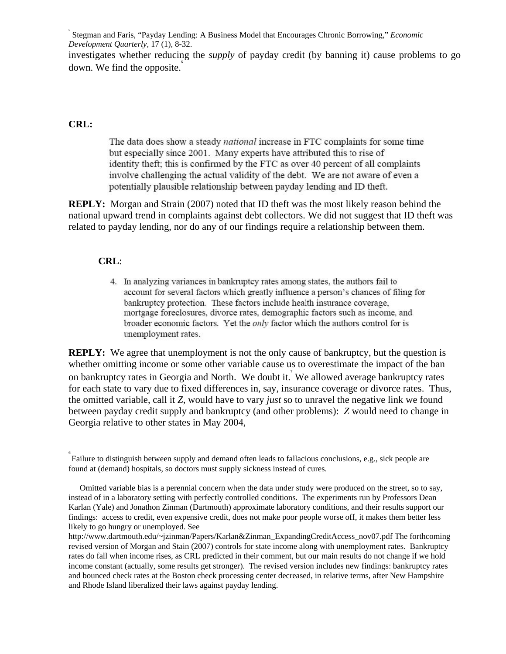5 Stegman and Faris, "Payday Lending: A Business Model that Encourages Chronic Borrowing," *Economic Development Quarterly,* 17 (1), 8-32.

investigates whether reducing the *supply* of payday credit (by banning it) cause problems to go down. We find the opposite.

### **CRL:**

The data does show a steady national increase in FTC complaints for some time but especially since 2001. Many experts have attributed this to rise of identity theft; this is confirmed by the FTC as over 40 percent of all complaints involve challenging the actual validity of the debt. We are not aware of even a potentially plausible relationship between payday lending and ID theft.

**REPLY:** Morgan and Strain (2007) noted that ID theft was the most likely reason behind the national upward trend in complaints against debt collectors. We did not suggest that ID theft was related to payday lending, nor do any of our findings require a relationship between them.

### **CRL**:

4. In analyzing variances in bankruptcy rates among states, the authors fail to account for several factors which greatly influence a person's chances of filing for bankruptcy protection. These factors include health insurance coverage. mortgage foreclosures, divorce rates, demographic factors such as income, and broader economic factors. Yet the only factor which the authors control for is unemployment rates.

**REPLY:** We agree that unemployment is not the only cause of bankruptcy, but the question is whether omitting income or some other variable cause us to overestimate the impact of the ban on bankruptcy rates in Georgia and North. We doubt it.<sup>7</sup> We allowed average bankruptcy rates for each state to vary due to fixed differences in, say, insurance coverage or divorce rates. Thus, the omitted variable, call it *Z*, would have to vary *just* so to unravel the negative link we found between payday credit supply and bankruptcy (and other problems): *Z* would need to change in Georgia relative to other states in May 2004,

<sup>6</sup>  Failure to distinguish between supply and demand often leads to fallacious conclusions, e.g., sick people are found at (demand) hospitals, so doctors must supply sickness instead of cures.

Omitted variable bias is a perennial concern when the data under study were produced on the street, so to say, instead of in a laboratory setting with perfectly controlled conditions. The experiments run by Professors Dean Karlan (Yale) and Jonathon Zinman (Dartmouth) approximate laboratory conditions, and their results support our findings: access to credit, even expensive credit, does not make poor people worse off, it makes them better less likely to go hungry or unemployed. See

http://www.dartmouth.edu/~jzinman/Papers/Karlan&Zinman\_ExpandingCreditAccess\_nov07.pdf The forthcoming revised version of Morgan and Stain (2007) controls for state income along with unemployment rates. Bankruptcy rates do fall when income rises, as CRL predicted in their comment, but our main results do not change if we hold income constant (actually, some results get stronger). The revised version includes new findings: bankruptcy rates and bounced check rates at the Boston check processing center decreased, in relative terms, after New Hampshire and Rhode Island liberalized their laws against payday lending.